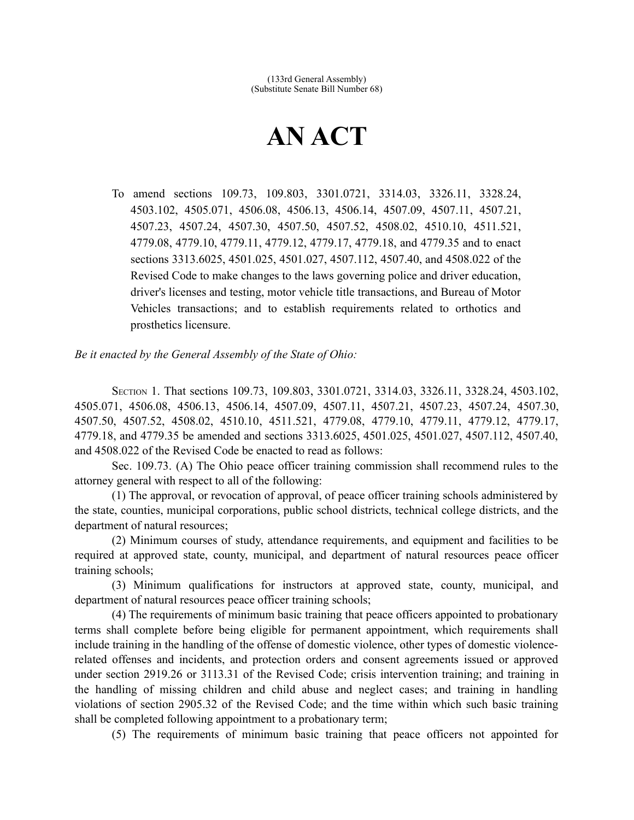## **AN ACT**

To amend sections 109.73, 109.803, 3301.0721, 3314.03, 3326.11, 3328.24, 4503.102, 4505.071, 4506.08, 4506.13, 4506.14, 4507.09, 4507.11, 4507.21, 4507.23, 4507.24, 4507.30, 4507.50, 4507.52, 4508.02, 4510.10, 4511.521, 4779.08, 4779.10, 4779.11, 4779.12, 4779.17, 4779.18, and 4779.35 and to enact sections 3313.6025, 4501.025, 4501.027, 4507.112, 4507.40, and 4508.022 of the Revised Code to make changes to the laws governing police and driver education, driver's licenses and testing, motor vehicle title transactions, and Bureau of Motor Vehicles transactions; and to establish requirements related to orthotics and prosthetics licensure.

*Be it enacted by the General Assembly of the State of Ohio:*

SECTION 1. That sections 109.73, 109.803, 3301.0721, 3314.03, 3326.11, 3328.24, 4503.102, 4505.071, 4506.08, 4506.13, 4506.14, 4507.09, 4507.11, 4507.21, 4507.23, 4507.24, 4507.30, 4507.50, 4507.52, 4508.02, 4510.10, 4511.521, 4779.08, 4779.10, 4779.11, 4779.12, 4779.17, 4779.18, and 4779.35 be amended and sections 3313.6025, 4501.025, 4501.027, 4507.112, 4507.40, and 4508.022 of the Revised Code be enacted to read as follows:

Sec. 109.73. (A) The Ohio peace officer training commission shall recommend rules to the attorney general with respect to all of the following:

(1) The approval, or revocation of approval, of peace officer training schools administered by the state, counties, municipal corporations, public school districts, technical college districts, and the department of natural resources;

(2) Minimum courses of study, attendance requirements, and equipment and facilities to be required at approved state, county, municipal, and department of natural resources peace officer training schools;

(3) Minimum qualifications for instructors at approved state, county, municipal, and department of natural resources peace officer training schools;

(4) The requirements of minimum basic training that peace officers appointed to probationary terms shall complete before being eligible for permanent appointment, which requirements shall include training in the handling of the offense of domestic violence, other types of domestic violencerelated offenses and incidents, and protection orders and consent agreements issued or approved under section 2919.26 or 3113.31 of the Revised Code; crisis intervention training; and training in the handling of missing children and child abuse and neglect cases; and training in handling violations of section 2905.32 of the Revised Code; and the time within which such basic training shall be completed following appointment to a probationary term;

(5) The requirements of minimum basic training that peace officers not appointed for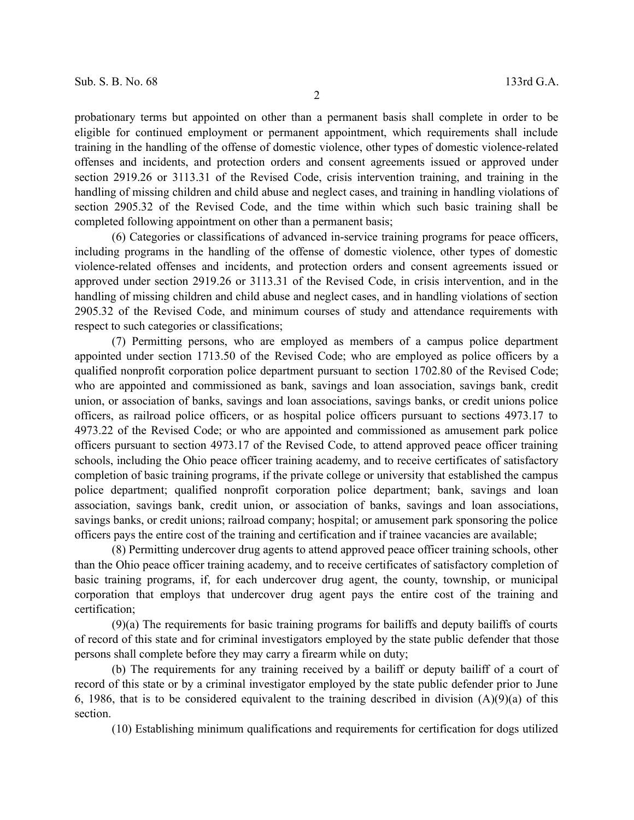probationary terms but appointed on other than a permanent basis shall complete in order to be eligible for continued employment or permanent appointment, which requirements shall include training in the handling of the offense of domestic violence, other types of domestic violence-related offenses and incidents, and protection orders and consent agreements issued or approved under section 2919.26 or 3113.31 of the Revised Code, crisis intervention training, and training in the handling of missing children and child abuse and neglect cases, and training in handling violations of section 2905.32 of the Revised Code, and the time within which such basic training shall be completed following appointment on other than a permanent basis;

(6) Categories or classifications of advanced in-service training programs for peace officers, including programs in the handling of the offense of domestic violence, other types of domestic violence-related offenses and incidents, and protection orders and consent agreements issued or approved under section 2919.26 or 3113.31 of the Revised Code, in crisis intervention, and in the handling of missing children and child abuse and neglect cases, and in handling violations of section 2905.32 of the Revised Code, and minimum courses of study and attendance requirements with respect to such categories or classifications;

(7) Permitting persons, who are employed as members of a campus police department appointed under section 1713.50 of the Revised Code; who are employed as police officers by a qualified nonprofit corporation police department pursuant to section 1702.80 of the Revised Code; who are appointed and commissioned as bank, savings and loan association, savings bank, credit union, or association of banks, savings and loan associations, savings banks, or credit unions police officers, as railroad police officers, or as hospital police officers pursuant to sections 4973.17 to 4973.22 of the Revised Code; or who are appointed and commissioned as amusement park police officers pursuant to section 4973.17 of the Revised Code, to attend approved peace officer training schools, including the Ohio peace officer training academy, and to receive certificates of satisfactory completion of basic training programs, if the private college or university that established the campus police department; qualified nonprofit corporation police department; bank, savings and loan association, savings bank, credit union, or association of banks, savings and loan associations, savings banks, or credit unions; railroad company; hospital; or amusement park sponsoring the police officers pays the entire cost of the training and certification and if trainee vacancies are available;

(8) Permitting undercover drug agents to attend approved peace officer training schools, other than the Ohio peace officer training academy, and to receive certificates of satisfactory completion of basic training programs, if, for each undercover drug agent, the county, township, or municipal corporation that employs that undercover drug agent pays the entire cost of the training and certification;

(9)(a) The requirements for basic training programs for bailiffs and deputy bailiffs of courts of record of this state and for criminal investigators employed by the state public defender that those persons shall complete before they may carry a firearm while on duty;

(b) The requirements for any training received by a bailiff or deputy bailiff of a court of record of this state or by a criminal investigator employed by the state public defender prior to June 6, 1986, that is to be considered equivalent to the training described in division  $(A)(9)(a)$  of this section.

(10) Establishing minimum qualifications and requirements for certification for dogs utilized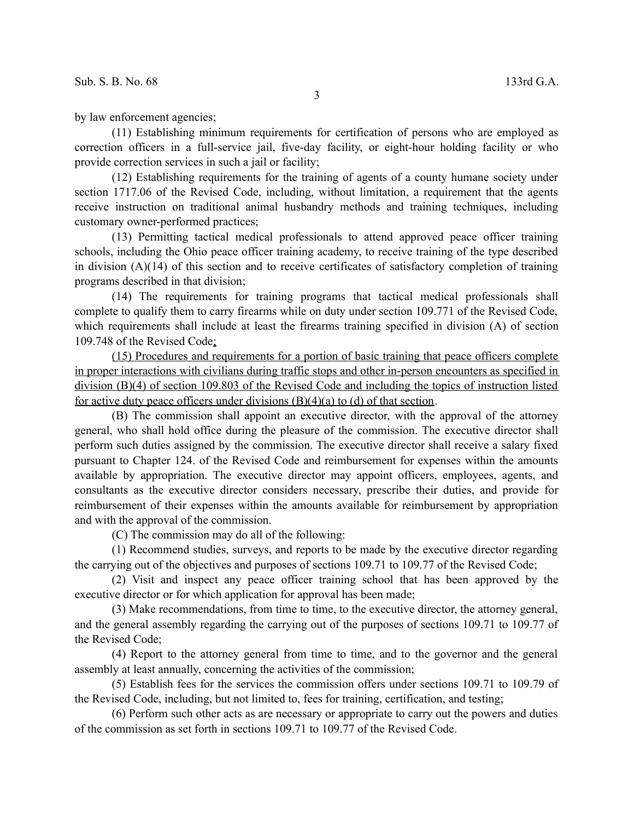by law enforcement agencies;

(11) Establishing minimum requirements for certification of persons who are employed as correction officers in a full-service jail, five-day facility, or eight-hour holding facility or who provide correction services in such a jail or facility;

(12) Establishing requirements for the training of agents of a county humane society under section 1717.06 of the Revised Code, including, without limitation, a requirement that the agents receive instruction on traditional animal husbandry methods and training techniques, including customary owner-performed practices;

(13) Permitting tactical medical professionals to attend approved peace officer training schools, including the Ohio peace officer training academy, to receive training of the type described in division (A)(14) of this section and to receive certificates of satisfactory completion of training programs described in that division;

(14) The requirements for training programs that tactical medical professionals shall complete to qualify them to carry firearms while on duty under section 109.771 of the Revised Code, which requirements shall include at least the firearms training specified in division (A) of section 109.748 of the Revised Code;

(15) Procedures and requirements for a portion of basic training that peace officers complete in proper interactions with civilians during traffic stops and other in-person encounters as specified in division (B)(4) of section 109.803 of the Revised Code and including the topics of instruction listed for active duty peace officers under divisions  $(B)(4)(a)$  to  $(d)$  of that section.

(B) The commission shall appoint an executive director, with the approval of the attorney general, who shall hold office during the pleasure of the commission. The executive director shall perform such duties assigned by the commission. The executive director shall receive a salary fixed pursuant to Chapter 124. of the Revised Code and reimbursement for expenses within the amounts available by appropriation. The executive director may appoint officers, employees, agents, and consultants as the executive director considers necessary, prescribe their duties, and provide for reimbursement of their expenses within the amounts available for reimbursement by appropriation and with the approval of the commission.

(C) The commission may do all of the following:

(1) Recommend studies, surveys, and reports to be made by the executive director regarding the carrying out of the objectives and purposes of sections 109.71 to 109.77 of the Revised Code;

(2) Visit and inspect any peace officer training school that has been approved by the executive director or for which application for approval has been made;

(3) Make recommendations, from time to time, to the executive director, the attorney general, and the general assembly regarding the carrying out of the purposes of sections 109.71 to 109.77 of the Revised Code;

(4) Report to the attorney general from time to time, and to the governor and the general assembly at least annually, concerning the activities of the commission;

(5) Establish fees for the services the commission offers under sections 109.71 to 109.79 of the Revised Code, including, but not limited to, fees for training, certification, and testing;

(6) Perform such other acts as are necessary or appropriate to carry out the powers and duties of the commission as set forth in sections 109.71 to 109.77 of the Revised Code.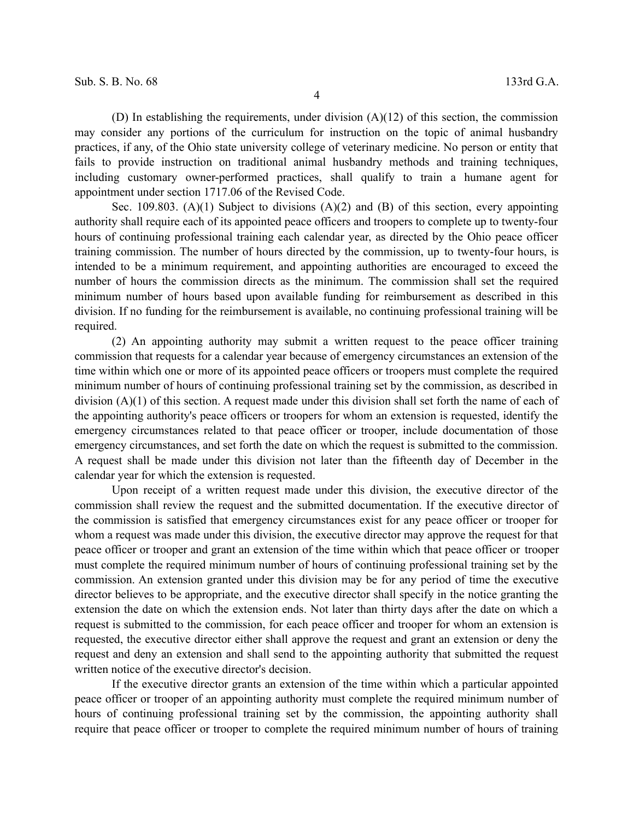4

(D) In establishing the requirements, under division  $(A)(12)$  of this section, the commission may consider any portions of the curriculum for instruction on the topic of animal husbandry practices, if any, of the Ohio state university college of veterinary medicine. No person or entity that fails to provide instruction on traditional animal husbandry methods and training techniques, including customary owner-performed practices, shall qualify to train a humane agent for appointment under section 1717.06 of the Revised Code.

Sec. 109.803. (A)(1) Subject to divisions (A)(2) and (B) of this section, every appointing authority shall require each of its appointed peace officers and troopers to complete up to twenty-four hours of continuing professional training each calendar year, as directed by the Ohio peace officer training commission. The number of hours directed by the commission, up to twenty-four hours, is intended to be a minimum requirement, and appointing authorities are encouraged to exceed the number of hours the commission directs as the minimum. The commission shall set the required minimum number of hours based upon available funding for reimbursement as described in this division. If no funding for the reimbursement is available, no continuing professional training will be required.

(2) An appointing authority may submit a written request to the peace officer training commission that requests for a calendar year because of emergency circumstances an extension of the time within which one or more of its appointed peace officers or troopers must complete the required minimum number of hours of continuing professional training set by the commission, as described in division (A)(1) of this section. A request made under this division shall set forth the name of each of the appointing authority's peace officers or troopers for whom an extension is requested, identify the emergency circumstances related to that peace officer or trooper, include documentation of those emergency circumstances, and set forth the date on which the request is submitted to the commission. A request shall be made under this division not later than the fifteenth day of December in the calendar year for which the extension is requested.

Upon receipt of a written request made under this division, the executive director of the commission shall review the request and the submitted documentation. If the executive director of the commission is satisfied that emergency circumstances exist for any peace officer or trooper for whom a request was made under this division, the executive director may approve the request for that peace officer or trooper and grant an extension of the time within which that peace officer or trooper must complete the required minimum number of hours of continuing professional training set by the commission. An extension granted under this division may be for any period of time the executive director believes to be appropriate, and the executive director shall specify in the notice granting the extension the date on which the extension ends. Not later than thirty days after the date on which a request is submitted to the commission, for each peace officer and trooper for whom an extension is requested, the executive director either shall approve the request and grant an extension or deny the request and deny an extension and shall send to the appointing authority that submitted the request written notice of the executive director's decision.

If the executive director grants an extension of the time within which a particular appointed peace officer or trooper of an appointing authority must complete the required minimum number of hours of continuing professional training set by the commission, the appointing authority shall require that peace officer or trooper to complete the required minimum number of hours of training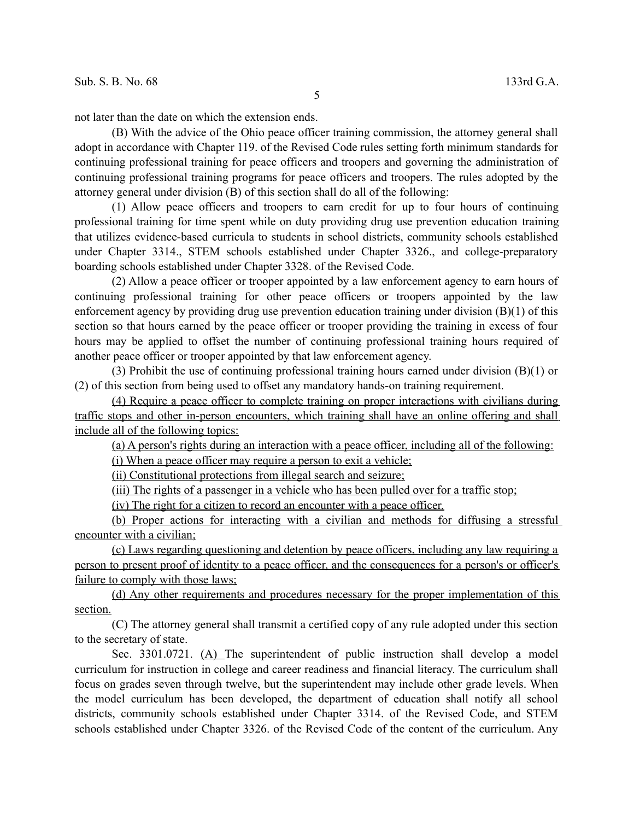not later than the date on which the extension ends.

(B) With the advice of the Ohio peace officer training commission, the attorney general shall adopt in accordance with Chapter 119. of the Revised Code rules setting forth minimum standards for continuing professional training for peace officers and troopers and governing the administration of continuing professional training programs for peace officers and troopers. The rules adopted by the attorney general under division (B) of this section shall do all of the following:

(1) Allow peace officers and troopers to earn credit for up to four hours of continuing professional training for time spent while on duty providing drug use prevention education training that utilizes evidence-based curricula to students in school districts, community schools established under Chapter 3314., STEM schools established under Chapter 3326., and college-preparatory boarding schools established under Chapter 3328. of the Revised Code.

(2) Allow a peace officer or trooper appointed by a law enforcement agency to earn hours of continuing professional training for other peace officers or troopers appointed by the law enforcement agency by providing drug use prevention education training under division (B)(1) of this section so that hours earned by the peace officer or trooper providing the training in excess of four hours may be applied to offset the number of continuing professional training hours required of another peace officer or trooper appointed by that law enforcement agency.

(3) Prohibit the use of continuing professional training hours earned under division (B)(1) or (2) of this section from being used to offset any mandatory hands-on training requirement.

(4) Require a peace officer to complete training on proper interactions with civilians during traffic stops and other in-person encounters, which training shall have an online offering and shall include all of the following topics:

(a) A person's rights during an interaction with a peace officer, including all of the following:

(i) When a peace officer may require a person to exit a vehicle;

(ii) Constitutional protections from illegal search and seizure;

(iii) The rights of a passenger in a vehicle who has been pulled over for a traffic stop;

(iv) The right for a citizen to record an encounter with a peace officer.

(b) Proper actions for interacting with a civilian and methods for diffusing a stressful encounter with a civilian;

(c) Laws regarding questioning and detention by peace officers, including any law requiring a person to present proof of identity to a peace officer, and the consequences for a person's or officer's failure to comply with those laws;

(d) Any other requirements and procedures necessary for the proper implementation of this section.

(C) The attorney general shall transmit a certified copy of any rule adopted under this section to the secretary of state.

Sec. 3301.0721. (A) The superintendent of public instruction shall develop a model curriculum for instruction in college and career readiness and financial literacy. The curriculum shall focus on grades seven through twelve, but the superintendent may include other grade levels. When the model curriculum has been developed, the department of education shall notify all school districts, community schools established under Chapter 3314. of the Revised Code, and STEM schools established under Chapter 3326. of the Revised Code of the content of the curriculum. Any

5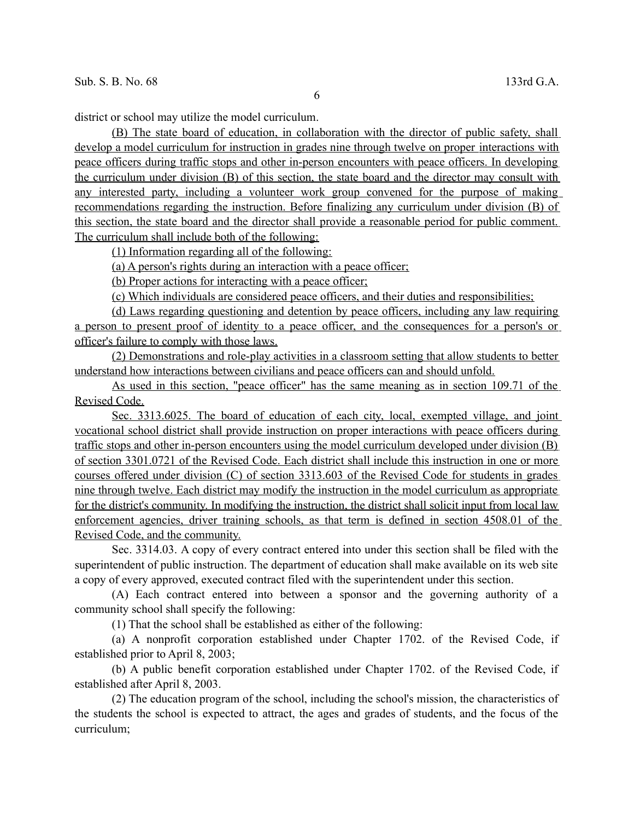district or school may utilize the model curriculum.

(B) The state board of education, in collaboration with the director of public safety, shall develop a model curriculum for instruction in grades nine through twelve on proper interactions with peace officers during traffic stops and other in-person encounters with peace officers. In developing the curriculum under division (B) of this section, the state board and the director may consult with any interested party, including a volunteer work group convened for the purpose of making recommendations regarding the instruction. Before finalizing any curriculum under division (B) of this section, the state board and the director shall provide a reasonable period for public comment. The curriculum shall include both of the following:

(1) Information regarding all of the following:

(a) A person's rights during an interaction with a peace officer;

(b) Proper actions for interacting with a peace officer;

(c) Which individuals are considered peace officers, and their duties and responsibilities;

(d) Laws regarding questioning and detention by peace officers, including any law requiring a person to present proof of identity to a peace officer, and the consequences for a person's or officer's failure to comply with those laws.

(2) Demonstrations and role-play activities in a classroom setting that allow students to better understand how interactions between civilians and peace officers can and should unfold.

As used in this section, "peace officer" has the same meaning as in section 109.71 of the Revised Code.

Sec. 3313.6025. The board of education of each city, local, exempted village, and joint vocational school district shall provide instruction on proper interactions with peace officers during traffic stops and other in-person encounters using the model curriculum developed under division (B) of section 3301.0721 of the Revised Code. Each district shall include this instruction in one or more courses offered under division (C) of section 3313.603 of the Revised Code for students in grades nine through twelve. Each district may modify the instruction in the model curriculum as appropriate for the district's community. In modifying the instruction, the district shall solicit input from local law enforcement agencies, driver training schools, as that term is defined in section 4508.01 of the Revised Code, and the community.

Sec. 3314.03. A copy of every contract entered into under this section shall be filed with the superintendent of public instruction. The department of education shall make available on its web site a copy of every approved, executed contract filed with the superintendent under this section.

(A) Each contract entered into between a sponsor and the governing authority of a community school shall specify the following:

(1) That the school shall be established as either of the following:

(a) A nonprofit corporation established under Chapter 1702. of the Revised Code, if established prior to April 8, 2003;

(b) A public benefit corporation established under Chapter 1702. of the Revised Code, if established after April 8, 2003.

(2) The education program of the school, including the school's mission, the characteristics of the students the school is expected to attract, the ages and grades of students, and the focus of the curriculum;

6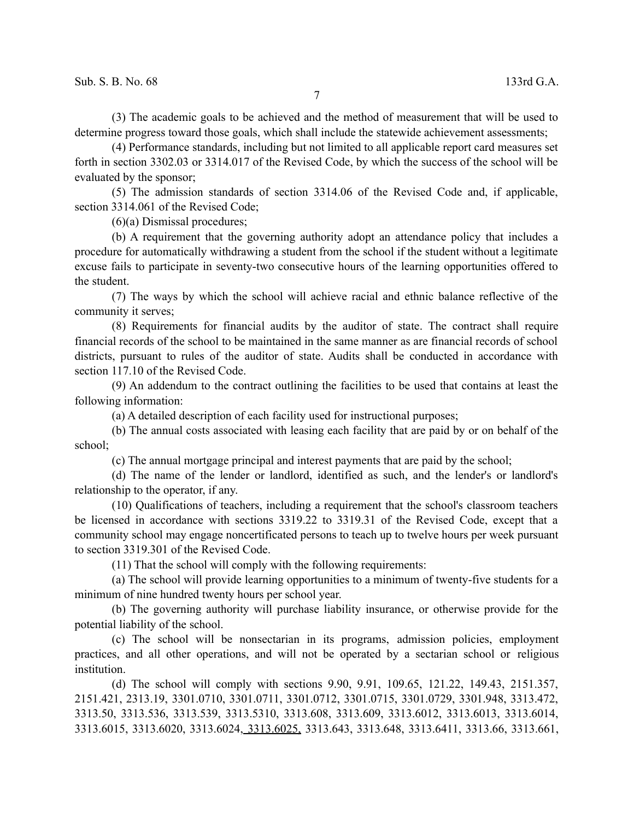7

(3) The academic goals to be achieved and the method of measurement that will be used to determine progress toward those goals, which shall include the statewide achievement assessments;

(4) Performance standards, including but not limited to all applicable report card measures set forth in section 3302.03 or 3314.017 of the Revised Code, by which the success of the school will be evaluated by the sponsor;

(5) The admission standards of section 3314.06 of the Revised Code and, if applicable, section 3314.061 of the Revised Code;

(6)(a) Dismissal procedures;

(b) A requirement that the governing authority adopt an attendance policy that includes a procedure for automatically withdrawing a student from the school if the student without a legitimate excuse fails to participate in seventy-two consecutive hours of the learning opportunities offered to the student.

(7) The ways by which the school will achieve racial and ethnic balance reflective of the community it serves;

(8) Requirements for financial audits by the auditor of state. The contract shall require financial records of the school to be maintained in the same manner as are financial records of school districts, pursuant to rules of the auditor of state. Audits shall be conducted in accordance with section 117.10 of the Revised Code.

(9) An addendum to the contract outlining the facilities to be used that contains at least the following information:

(a) A detailed description of each facility used for instructional purposes;

(b) The annual costs associated with leasing each facility that are paid by or on behalf of the school;

(c) The annual mortgage principal and interest payments that are paid by the school;

(d) The name of the lender or landlord, identified as such, and the lender's or landlord's relationship to the operator, if any.

(10) Qualifications of teachers, including a requirement that the school's classroom teachers be licensed in accordance with sections 3319.22 to 3319.31 of the Revised Code, except that a community school may engage noncertificated persons to teach up to twelve hours per week pursuant to section 3319.301 of the Revised Code.

(11) That the school will comply with the following requirements:

(a) The school will provide learning opportunities to a minimum of twenty-five students for a minimum of nine hundred twenty hours per school year.

(b) The governing authority will purchase liability insurance, or otherwise provide for the potential liability of the school.

(c) The school will be nonsectarian in its programs, admission policies, employment practices, and all other operations, and will not be operated by a sectarian school or religious institution.

(d) The school will comply with sections 9.90, 9.91, 109.65, 121.22, 149.43, 2151.357, 2151.421, 2313.19, 3301.0710, 3301.0711, 3301.0712, 3301.0715, 3301.0729, 3301.948, 3313.472, 3313.50, 3313.536, 3313.539, 3313.5310, 3313.608, 3313.609, 3313.6012, 3313.6013, 3313.6014, 3313.6015, 3313.6020, 3313.6024, 3313.6025, 3313.643, 3313.648, 3313.6411, 3313.66, 3313.661,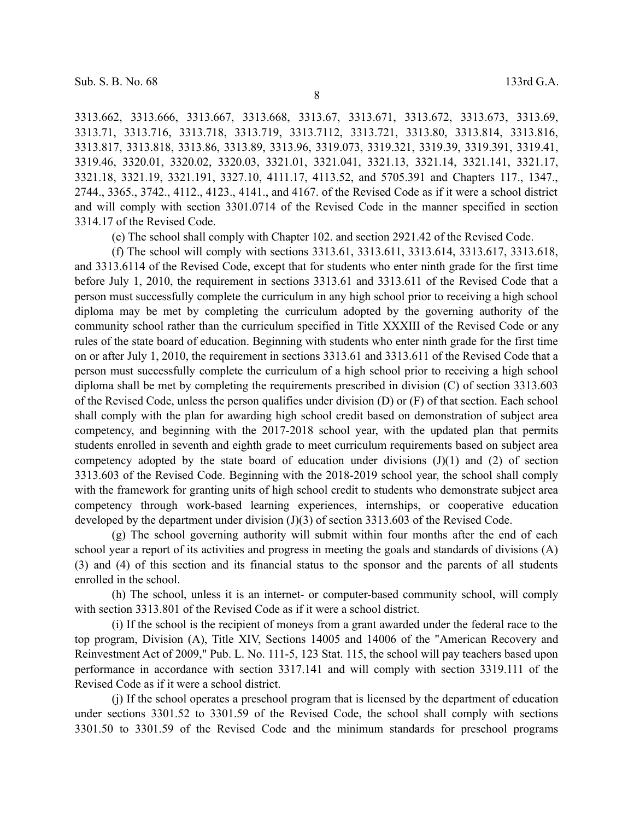3313.662, 3313.666, 3313.667, 3313.668, 3313.67, 3313.671, 3313.672, 3313.673, 3313.69, 3313.71, 3313.716, 3313.718, 3313.719, 3313.7112, 3313.721, 3313.80, 3313.814, 3313.816, 3313.817, 3313.818, 3313.86, 3313.89, 3313.96, 3319.073, 3319.321, 3319.39, 3319.391, 3319.41, 3319.46, 3320.01, 3320.02, 3320.03, 3321.01, 3321.041, 3321.13, 3321.14, 3321.141, 3321.17, 3321.18, 3321.19, 3321.191, 3327.10, 4111.17, 4113.52, and 5705.391 and Chapters 117., 1347., 2744., 3365., 3742., 4112., 4123., 4141., and 4167. of the Revised Code as if it were a school district and will comply with section 3301.0714 of the Revised Code in the manner specified in section 3314.17 of the Revised Code.

(e) The school shall comply with Chapter 102. and section 2921.42 of the Revised Code.

(f) The school will comply with sections 3313.61, 3313.611, 3313.614, 3313.617, 3313.618, and 3313.6114 of the Revised Code, except that for students who enter ninth grade for the first time before July 1, 2010, the requirement in sections 3313.61 and 3313.611 of the Revised Code that a person must successfully complete the curriculum in any high school prior to receiving a high school diploma may be met by completing the curriculum adopted by the governing authority of the community school rather than the curriculum specified in Title XXXIII of the Revised Code or any rules of the state board of education. Beginning with students who enter ninth grade for the first time on or after July 1, 2010, the requirement in sections 3313.61 and 3313.611 of the Revised Code that a person must successfully complete the curriculum of a high school prior to receiving a high school diploma shall be met by completing the requirements prescribed in division (C) of section 3313.603 of the Revised Code, unless the person qualifies under division (D) or (F) of that section. Each school shall comply with the plan for awarding high school credit based on demonstration of subject area competency, and beginning with the 2017-2018 school year, with the updated plan that permits students enrolled in seventh and eighth grade to meet curriculum requirements based on subject area competency adopted by the state board of education under divisions  $(J)(1)$  and  $(2)$  of section 3313.603 of the Revised Code. Beginning with the 2018-2019 school year, the school shall comply with the framework for granting units of high school credit to students who demonstrate subject area competency through work-based learning experiences, internships, or cooperative education developed by the department under division  $(J)(3)$  of section 3313.603 of the Revised Code.

(g) The school governing authority will submit within four months after the end of each school year a report of its activities and progress in meeting the goals and standards of divisions (A) (3) and (4) of this section and its financial status to the sponsor and the parents of all students enrolled in the school.

(h) The school, unless it is an internet- or computer-based community school, will comply with section 3313.801 of the Revised Code as if it were a school district.

(i) If the school is the recipient of moneys from a grant awarded under the federal race to the top program, Division (A), Title XIV, Sections 14005 and 14006 of the "American Recovery and Reinvestment Act of 2009," Pub. L. No. 111-5, 123 Stat. 115, the school will pay teachers based upon performance in accordance with section 3317.141 and will comply with section 3319.111 of the Revised Code as if it were a school district.

(j) If the school operates a preschool program that is licensed by the department of education under sections 3301.52 to 3301.59 of the Revised Code, the school shall comply with sections 3301.50 to 3301.59 of the Revised Code and the minimum standards for preschool programs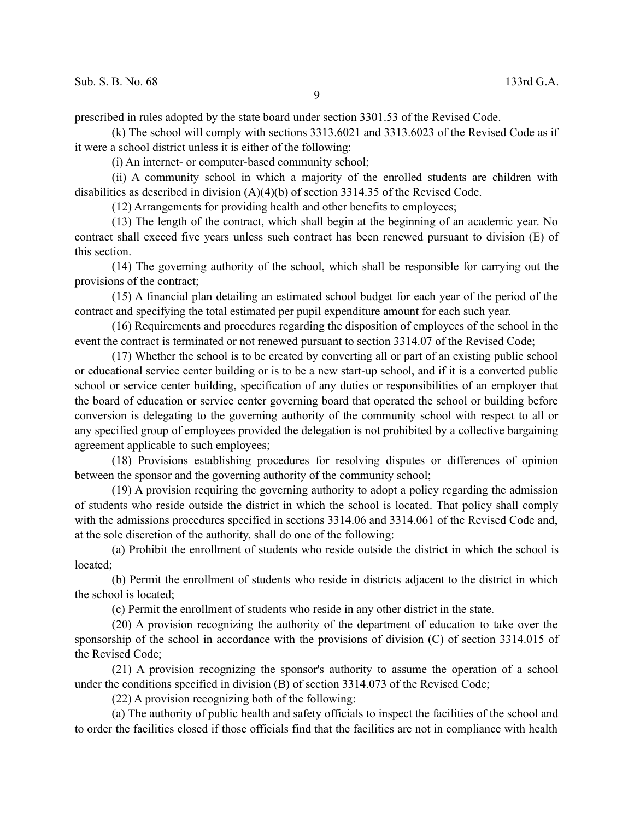prescribed in rules adopted by the state board under section 3301.53 of the Revised Code.

(k) The school will comply with sections 3313.6021 and 3313.6023 of the Revised Code as if it were a school district unless it is either of the following:

(i) An internet- or computer-based community school;

(ii) A community school in which a majority of the enrolled students are children with disabilities as described in division (A)(4)(b) of section 3314.35 of the Revised Code.

(12) Arrangements for providing health and other benefits to employees;

(13) The length of the contract, which shall begin at the beginning of an academic year. No contract shall exceed five years unless such contract has been renewed pursuant to division (E) of this section.

(14) The governing authority of the school, which shall be responsible for carrying out the provisions of the contract;

(15) A financial plan detailing an estimated school budget for each year of the period of the contract and specifying the total estimated per pupil expenditure amount for each such year.

(16) Requirements and procedures regarding the disposition of employees of the school in the event the contract is terminated or not renewed pursuant to section 3314.07 of the Revised Code;

(17) Whether the school is to be created by converting all or part of an existing public school or educational service center building or is to be a new start-up school, and if it is a converted public school or service center building, specification of any duties or responsibilities of an employer that the board of education or service center governing board that operated the school or building before conversion is delegating to the governing authority of the community school with respect to all or any specified group of employees provided the delegation is not prohibited by a collective bargaining agreement applicable to such employees;

(18) Provisions establishing procedures for resolving disputes or differences of opinion between the sponsor and the governing authority of the community school;

(19) A provision requiring the governing authority to adopt a policy regarding the admission of students who reside outside the district in which the school is located. That policy shall comply with the admissions procedures specified in sections 3314.06 and 3314.061 of the Revised Code and, at the sole discretion of the authority, shall do one of the following:

(a) Prohibit the enrollment of students who reside outside the district in which the school is located;

(b) Permit the enrollment of students who reside in districts adjacent to the district in which the school is located;

(c) Permit the enrollment of students who reside in any other district in the state.

(20) A provision recognizing the authority of the department of education to take over the sponsorship of the school in accordance with the provisions of division (C) of section 3314.015 of the Revised Code;

(21) A provision recognizing the sponsor's authority to assume the operation of a school under the conditions specified in division (B) of section 3314.073 of the Revised Code;

(22) A provision recognizing both of the following:

(a) The authority of public health and safety officials to inspect the facilities of the school and to order the facilities closed if those officials find that the facilities are not in compliance with health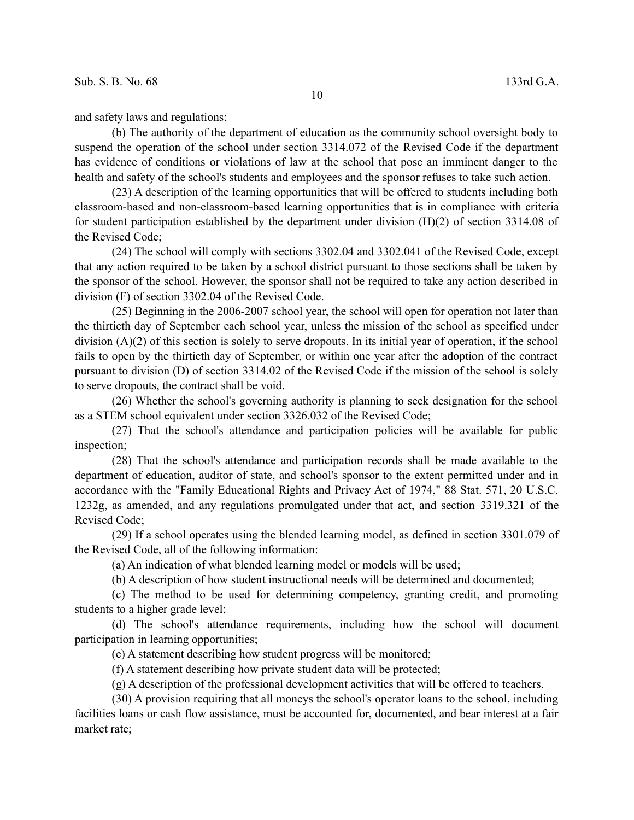and safety laws and regulations;

(b) The authority of the department of education as the community school oversight body to suspend the operation of the school under section 3314.072 of the Revised Code if the department has evidence of conditions or violations of law at the school that pose an imminent danger to the health and safety of the school's students and employees and the sponsor refuses to take such action.

(23) A description of the learning opportunities that will be offered to students including both classroom-based and non-classroom-based learning opportunities that is in compliance with criteria for student participation established by the department under division (H)(2) of section 3314.08 of the Revised Code;

(24) The school will comply with sections 3302.04 and 3302.041 of the Revised Code, except that any action required to be taken by a school district pursuant to those sections shall be taken by the sponsor of the school. However, the sponsor shall not be required to take any action described in division (F) of section 3302.04 of the Revised Code.

(25) Beginning in the 2006-2007 school year, the school will open for operation not later than the thirtieth day of September each school year, unless the mission of the school as specified under division (A)(2) of this section is solely to serve dropouts. In its initial year of operation, if the school fails to open by the thirtieth day of September, or within one year after the adoption of the contract pursuant to division (D) of section 3314.02 of the Revised Code if the mission of the school is solely to serve dropouts, the contract shall be void.

(26) Whether the school's governing authority is planning to seek designation for the school as a STEM school equivalent under section 3326.032 of the Revised Code;

(27) That the school's attendance and participation policies will be available for public inspection;

(28) That the school's attendance and participation records shall be made available to the department of education, auditor of state, and school's sponsor to the extent permitted under and in accordance with the "Family Educational Rights and Privacy Act of 1974," 88 Stat. 571, 20 U.S.C. 1232g, as amended, and any regulations promulgated under that act, and section 3319.321 of the Revised Code;

(29) If a school operates using the blended learning model, as defined in section 3301.079 of the Revised Code, all of the following information:

(a) An indication of what blended learning model or models will be used;

(b) A description of how student instructional needs will be determined and documented;

(c) The method to be used for determining competency, granting credit, and promoting students to a higher grade level;

(d) The school's attendance requirements, including how the school will document participation in learning opportunities;

(e) A statement describing how student progress will be monitored;

(f) A statement describing how private student data will be protected;

(g) A description of the professional development activities that will be offered to teachers.

(30) A provision requiring that all moneys the school's operator loans to the school, including facilities loans or cash flow assistance, must be accounted for, documented, and bear interest at a fair market rate;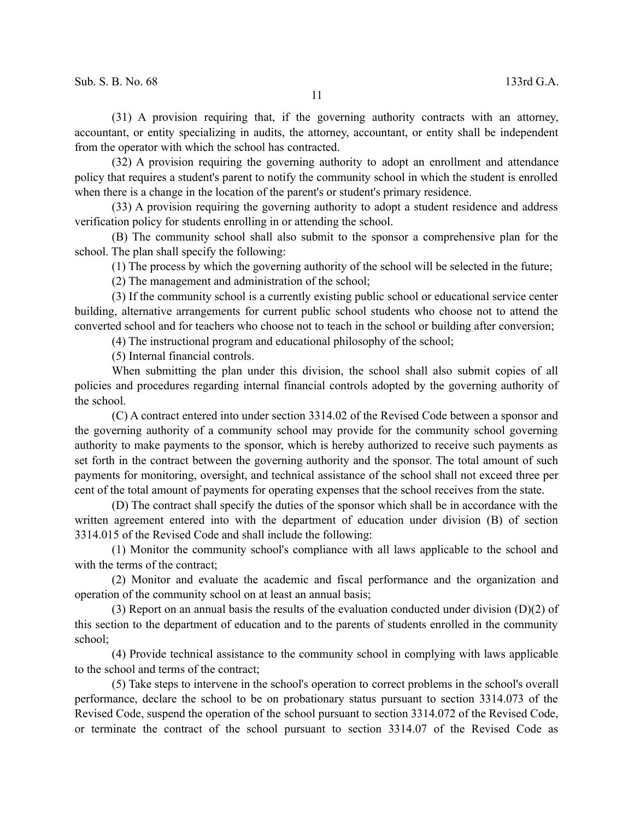(31) A provision requiring that, if the governing authority contracts with an attorney, accountant, or entity specializing in audits, the attorney, accountant, or entity shall be independent from the operator with which the school has contracted.

(32) A provision requiring the governing authority to adopt an enrollment and attendance policy that requires a student's parent to notify the community school in which the student is enrolled when there is a change in the location of the parent's or student's primary residence.

(33) A provision requiring the governing authority to adopt a student residence and address verification policy for students enrolling in or attending the school.

(B) The community school shall also submit to the sponsor a comprehensive plan for the school. The plan shall specify the following:

(1) The process by which the governing authority of the school will be selected in the future;

(2) The management and administration of the school;

(3) If the community school is a currently existing public school or educational service center building, alternative arrangements for current public school students who choose not to attend the converted school and for teachers who choose not to teach in the school or building after conversion;

(4) The instructional program and educational philosophy of the school;

(5) Internal financial controls.

When submitting the plan under this division, the school shall also submit copies of all policies and procedures regarding internal financial controls adopted by the governing authority of the school.

(C) A contract entered into under section 3314.02 of the Revised Code between a sponsor and the governing authority of a community school may provide for the community school governing authority to make payments to the sponsor, which is hereby authorized to receive such payments as set forth in the contract between the governing authority and the sponsor. The total amount of such payments for monitoring, oversight, and technical assistance of the school shall not exceed three per cent of the total amount of payments for operating expenses that the school receives from the state.

(D) The contract shall specify the duties of the sponsor which shall be in accordance with the written agreement entered into with the department of education under division (B) of section 3314.015 of the Revised Code and shall include the following:

(1) Monitor the community school's compliance with all laws applicable to the school and with the terms of the contract;

(2) Monitor and evaluate the academic and fiscal performance and the organization and operation of the community school on at least an annual basis;

(3) Report on an annual basis the results of the evaluation conducted under division (D)(2) of this section to the department of education and to the parents of students enrolled in the community school;

(4) Provide technical assistance to the community school in complying with laws applicable to the school and terms of the contract;

(5) Take steps to intervene in the school's operation to correct problems in the school's overall performance, declare the school to be on probationary status pursuant to section 3314.073 of the Revised Code, suspend the operation of the school pursuant to section 3314.072 of the Revised Code, or terminate the contract of the school pursuant to section 3314.07 of the Revised Code as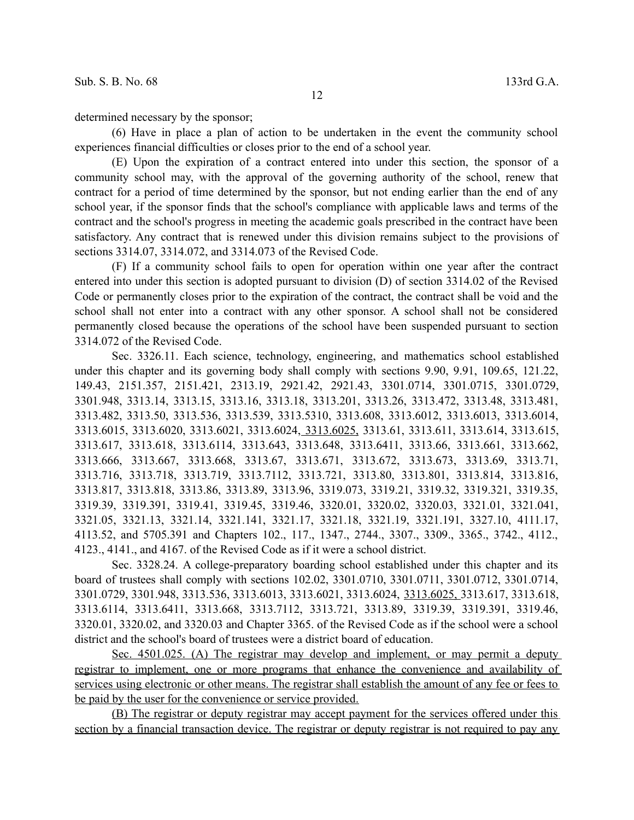determined necessary by the sponsor;

(6) Have in place a plan of action to be undertaken in the event the community school experiences financial difficulties or closes prior to the end of a school year.

(E) Upon the expiration of a contract entered into under this section, the sponsor of a community school may, with the approval of the governing authority of the school, renew that contract for a period of time determined by the sponsor, but not ending earlier than the end of any school year, if the sponsor finds that the school's compliance with applicable laws and terms of the contract and the school's progress in meeting the academic goals prescribed in the contract have been satisfactory. Any contract that is renewed under this division remains subject to the provisions of sections 3314.07, 3314.072, and 3314.073 of the Revised Code.

(F) If a community school fails to open for operation within one year after the contract entered into under this section is adopted pursuant to division (D) of section 3314.02 of the Revised Code or permanently closes prior to the expiration of the contract, the contract shall be void and the school shall not enter into a contract with any other sponsor. A school shall not be considered permanently closed because the operations of the school have been suspended pursuant to section 3314.072 of the Revised Code.

Sec. 3326.11. Each science, technology, engineering, and mathematics school established under this chapter and its governing body shall comply with sections 9.90, 9.91, 109.65, 121.22, 149.43, 2151.357, 2151.421, 2313.19, 2921.42, 2921.43, 3301.0714, 3301.0715, 3301.0729, 3301.948, 3313.14, 3313.15, 3313.16, 3313.18, 3313.201, 3313.26, 3313.472, 3313.48, 3313.481, 3313.482, 3313.50, 3313.536, 3313.539, 3313.5310, 3313.608, 3313.6012, 3313.6013, 3313.6014, 3313.6015, 3313.6020, 3313.6021, 3313.6024, 3313.6025, 3313.61, 3313.611, 3313.614, 3313.615, 3313.617, 3313.618, 3313.6114, 3313.643, 3313.648, 3313.6411, 3313.66, 3313.661, 3313.662, 3313.666, 3313.667, 3313.668, 3313.67, 3313.671, 3313.672, 3313.673, 3313.69, 3313.71, 3313.716, 3313.718, 3313.719, 3313.7112, 3313.721, 3313.80, 3313.801, 3313.814, 3313.816, 3313.817, 3313.818, 3313.86, 3313.89, 3313.96, 3319.073, 3319.21, 3319.32, 3319.321, 3319.35, 3319.39, 3319.391, 3319.41, 3319.45, 3319.46, 3320.01, 3320.02, 3320.03, 3321.01, 3321.041, 3321.05, 3321.13, 3321.14, 3321.141, 3321.17, 3321.18, 3321.19, 3321.191, 3327.10, 4111.17, 4113.52, and 5705.391 and Chapters 102., 117., 1347., 2744., 3307., 3309., 3365., 3742., 4112., 4123., 4141., and 4167. of the Revised Code as if it were a school district.

Sec. 3328.24. A college-preparatory boarding school established under this chapter and its board of trustees shall comply with sections 102.02, 3301.0710, 3301.0711, 3301.0712, 3301.0714, 3301.0729, 3301.948, 3313.536, 3313.6013, 3313.6021, 3313.6024, 3313.6025, 3313.617, 3313.618, 3313.6114, 3313.6411, 3313.668, 3313.7112, 3313.721, 3313.89, 3319.39, 3319.391, 3319.46, 3320.01, 3320.02, and 3320.03 and Chapter 3365. of the Revised Code as if the school were a school district and the school's board of trustees were a district board of education.

 Sec. 4501.025. (A) The registrar may develop and implement, or may permit a deputy registrar to implement, one or more programs that enhance the convenience and availability of services using electronic or other means. The registrar shall establish the amount of any fee or fees to be paid by the user for the convenience or service provided.

(B) The registrar or deputy registrar may accept payment for the services offered under this section by a financial transaction device. The registrar or deputy registrar is not required to pay any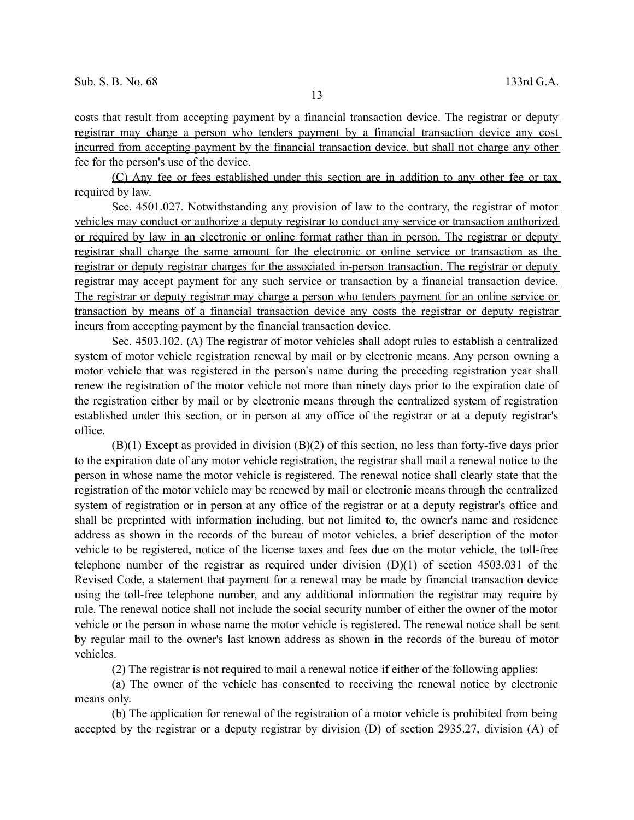costs that result from accepting payment by a financial transaction device. The registrar or deputy registrar may charge a person who tenders payment by a financial transaction device any cost incurred from accepting payment by the financial transaction device, but shall not charge any other fee for the person's use of the device.

(C) Any fee or fees established under this section are in addition to any other fee or tax required by law.

Sec. 4501.027. Notwithstanding any provision of law to the contrary, the registrar of motor vehicles may conduct or authorize a deputy registrar to conduct any service or transaction authorized or required by law in an electronic or online format rather than in person. The registrar or deputy registrar shall charge the same amount for the electronic or online service or transaction as the registrar or deputy registrar charges for the associated in-person transaction. The registrar or deputy registrar may accept payment for any such service or transaction by a financial transaction device. The registrar or deputy registrar may charge a person who tenders payment for an online service or transaction by means of a financial transaction device any costs the registrar or deputy registrar incurs from accepting payment by the financial transaction device.

Sec. 4503.102. (A) The registrar of motor vehicles shall adopt rules to establish a centralized system of motor vehicle registration renewal by mail or by electronic means. Any person owning a motor vehicle that was registered in the person's name during the preceding registration year shall renew the registration of the motor vehicle not more than ninety days prior to the expiration date of the registration either by mail or by electronic means through the centralized system of registration established under this section, or in person at any office of the registrar or at a deputy registrar's office.

(B)(1) Except as provided in division (B)(2) of this section, no less than forty-five days prior to the expiration date of any motor vehicle registration, the registrar shall mail a renewal notice to the person in whose name the motor vehicle is registered. The renewal notice shall clearly state that the registration of the motor vehicle may be renewed by mail or electronic means through the centralized system of registration or in person at any office of the registrar or at a deputy registrar's office and shall be preprinted with information including, but not limited to, the owner's name and residence address as shown in the records of the bureau of motor vehicles, a brief description of the motor vehicle to be registered, notice of the license taxes and fees due on the motor vehicle, the toll-free telephone number of the registrar as required under division (D)(1) of section 4503.031 of the Revised Code, a statement that payment for a renewal may be made by financial transaction device using the toll-free telephone number, and any additional information the registrar may require by rule. The renewal notice shall not include the social security number of either the owner of the motor vehicle or the person in whose name the motor vehicle is registered. The renewal notice shall be sent by regular mail to the owner's last known address as shown in the records of the bureau of motor vehicles.

(2) The registrar is not required to mail a renewal notice if either of the following applies:

(a) The owner of the vehicle has consented to receiving the renewal notice by electronic means only.

(b) The application for renewal of the registration of a motor vehicle is prohibited from being accepted by the registrar or a deputy registrar by division (D) of section 2935.27, division (A) of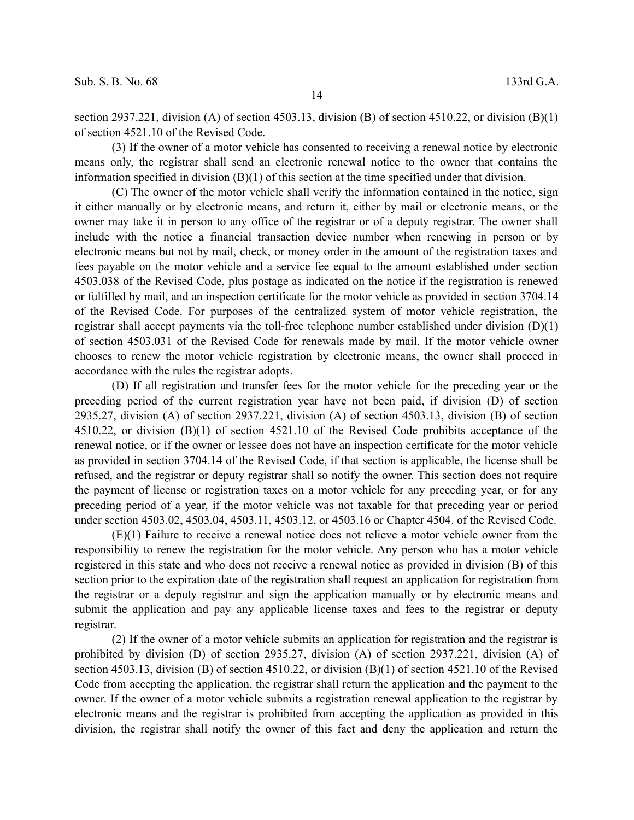section 2937.221, division (A) of section 4503.13, division (B) of section 4510.22, or division  $(B)(1)$ of section 4521.10 of the Revised Code.

(3) If the owner of a motor vehicle has consented to receiving a renewal notice by electronic means only, the registrar shall send an electronic renewal notice to the owner that contains the information specified in division (B)(1) of this section at the time specified under that division.

(C) The owner of the motor vehicle shall verify the information contained in the notice, sign it either manually or by electronic means, and return it, either by mail or electronic means, or the owner may take it in person to any office of the registrar or of a deputy registrar. The owner shall include with the notice a financial transaction device number when renewing in person or by electronic means but not by mail, check, or money order in the amount of the registration taxes and fees payable on the motor vehicle and a service fee equal to the amount established under section 4503.038 of the Revised Code, plus postage as indicated on the notice if the registration is renewed or fulfilled by mail, and an inspection certificate for the motor vehicle as provided in section 3704.14 of the Revised Code. For purposes of the centralized system of motor vehicle registration, the registrar shall accept payments via the toll-free telephone number established under division (D)(1) of section 4503.031 of the Revised Code for renewals made by mail. If the motor vehicle owner chooses to renew the motor vehicle registration by electronic means, the owner shall proceed in accordance with the rules the registrar adopts.

(D) If all registration and transfer fees for the motor vehicle for the preceding year or the preceding period of the current registration year have not been paid, if division (D) of section 2935.27, division (A) of section 2937.221, division (A) of section 4503.13, division (B) of section 4510.22, or division (B)(1) of section 4521.10 of the Revised Code prohibits acceptance of the renewal notice, or if the owner or lessee does not have an inspection certificate for the motor vehicle as provided in section 3704.14 of the Revised Code, if that section is applicable, the license shall be refused, and the registrar or deputy registrar shall so notify the owner. This section does not require the payment of license or registration taxes on a motor vehicle for any preceding year, or for any preceding period of a year, if the motor vehicle was not taxable for that preceding year or period under section 4503.02, 4503.04, 4503.11, 4503.12, or 4503.16 or Chapter 4504. of the Revised Code.

(E)(1) Failure to receive a renewal notice does not relieve a motor vehicle owner from the responsibility to renew the registration for the motor vehicle. Any person who has a motor vehicle registered in this state and who does not receive a renewal notice as provided in division (B) of this section prior to the expiration date of the registration shall request an application for registration from the registrar or a deputy registrar and sign the application manually or by electronic means and submit the application and pay any applicable license taxes and fees to the registrar or deputy registrar.

(2) If the owner of a motor vehicle submits an application for registration and the registrar is prohibited by division (D) of section 2935.27, division (A) of section 2937.221, division (A) of section 4503.13, division (B) of section 4510.22, or division (B)(1) of section 4521.10 of the Revised Code from accepting the application, the registrar shall return the application and the payment to the owner. If the owner of a motor vehicle submits a registration renewal application to the registrar by electronic means and the registrar is prohibited from accepting the application as provided in this division, the registrar shall notify the owner of this fact and deny the application and return the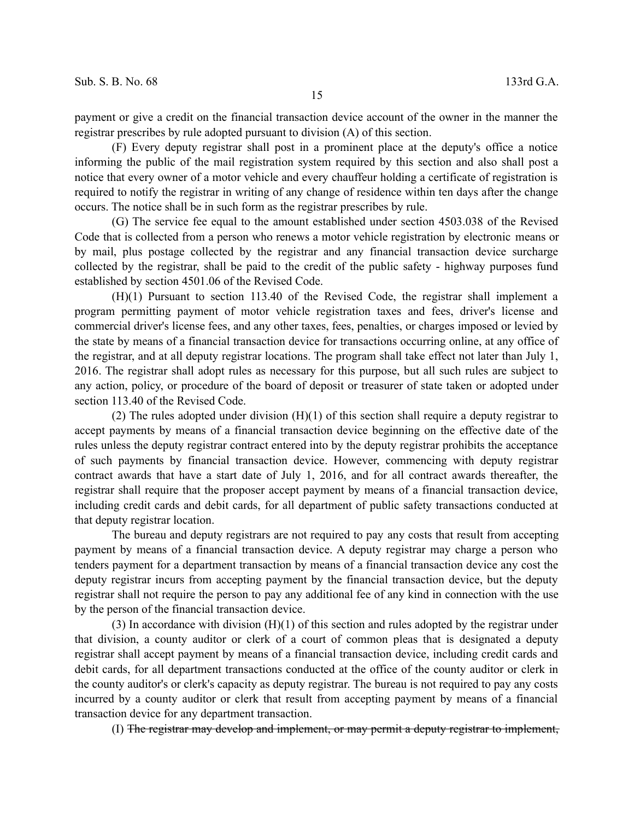payment or give a credit on the financial transaction device account of the owner in the manner the registrar prescribes by rule adopted pursuant to division (A) of this section.

(F) Every deputy registrar shall post in a prominent place at the deputy's office a notice informing the public of the mail registration system required by this section and also shall post a notice that every owner of a motor vehicle and every chauffeur holding a certificate of registration is required to notify the registrar in writing of any change of residence within ten days after the change occurs. The notice shall be in such form as the registrar prescribes by rule.

(G) The service fee equal to the amount established under section 4503.038 of the Revised Code that is collected from a person who renews a motor vehicle registration by electronic means or by mail, plus postage collected by the registrar and any financial transaction device surcharge collected by the registrar, shall be paid to the credit of the public safety - highway purposes fund established by section 4501.06 of the Revised Code.

(H)(1) Pursuant to section 113.40 of the Revised Code, the registrar shall implement a program permitting payment of motor vehicle registration taxes and fees, driver's license and commercial driver's license fees, and any other taxes, fees, penalties, or charges imposed or levied by the state by means of a financial transaction device for transactions occurring online, at any office of the registrar, and at all deputy registrar locations. The program shall take effect not later than July 1, 2016. The registrar shall adopt rules as necessary for this purpose, but all such rules are subject to any action, policy, or procedure of the board of deposit or treasurer of state taken or adopted under section 113.40 of the Revised Code.

(2) The rules adopted under division (H)(1) of this section shall require a deputy registrar to accept payments by means of a financial transaction device beginning on the effective date of the rules unless the deputy registrar contract entered into by the deputy registrar prohibits the acceptance of such payments by financial transaction device. However, commencing with deputy registrar contract awards that have a start date of July 1, 2016, and for all contract awards thereafter, the registrar shall require that the proposer accept payment by means of a financial transaction device, including credit cards and debit cards, for all department of public safety transactions conducted at that deputy registrar location.

The bureau and deputy registrars are not required to pay any costs that result from accepting payment by means of a financial transaction device. A deputy registrar may charge a person who tenders payment for a department transaction by means of a financial transaction device any cost the deputy registrar incurs from accepting payment by the financial transaction device, but the deputy registrar shall not require the person to pay any additional fee of any kind in connection with the use by the person of the financial transaction device.

(3) In accordance with division  $(H)(1)$  of this section and rules adopted by the registrar under that division, a county auditor or clerk of a court of common pleas that is designated a deputy registrar shall accept payment by means of a financial transaction device, including credit cards and debit cards, for all department transactions conducted at the office of the county auditor or clerk in the county auditor's or clerk's capacity as deputy registrar. The bureau is not required to pay any costs incurred by a county auditor or clerk that result from accepting payment by means of a financial transaction device for any department transaction.

(I) The registrar may develop and implement, or may permit a deputy registrar to implement,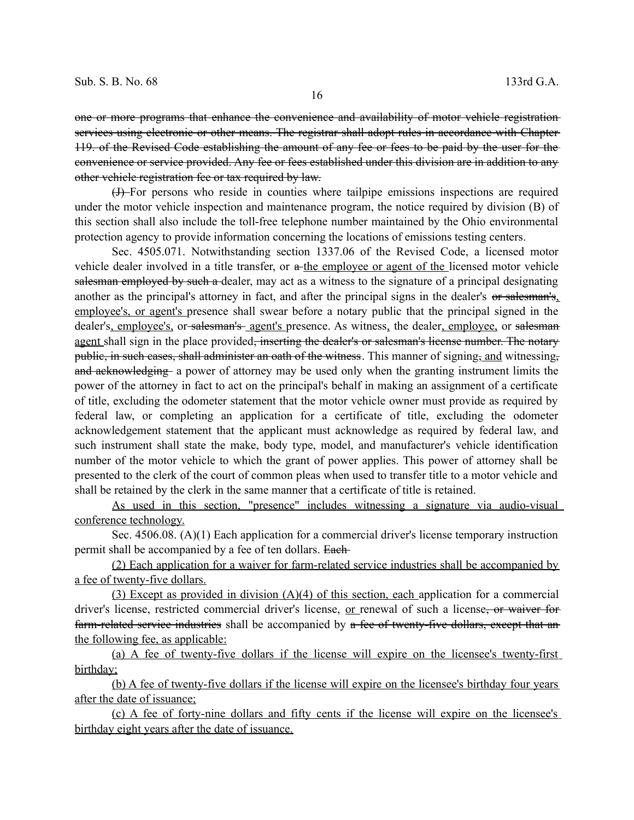one or more programs that enhance the convenience and availability of motor vehicle registration services using electronic or other means. The registrar shall adopt rules in accordance with Chapter 119. of the Revised Code establishing the amount of any fee or fees to be paid by the user for the convenience or service provided. Any fee or fees established under this division are in addition to any other vehicle registration fee or tax required by law.

(J) For persons who reside in counties where tailpipe emissions inspections are required under the motor vehicle inspection and maintenance program, the notice required by division (B) of this section shall also include the toll-free telephone number maintained by the Ohio environmental protection agency to provide information concerning the locations of emissions testing centers.

Sec. 4505.071. Notwithstanding section 1337.06 of the Revised Code, a licensed motor vehicle dealer involved in a title transfer, or  $a$ -the employee or agent of the licensed motor vehicle salesman employed by such a dealer, may act as a witness to the signature of a principal designating another as the principal's attorney in fact, and after the principal signs in the dealer's or salesman's, employee's, or agent's presence shall swear before a notary public that the principal signed in the dealer's, employee's, or salesman's agent's presence. As witness, the dealer, employee, or salesman agent shall sign in the place provided, inserting the dealer's or salesman's license number. The notary public, in such cases, shall administer an oath of the witness. This manner of signing, and witnessing, and acknowledging a power of attorney may be used only when the granting instrument limits the power of the attorney in fact to act on the principal's behalf in making an assignment of a certificate of title, excluding the odometer statement that the motor vehicle owner must provide as required by federal law, or completing an application for a certificate of title, excluding the odometer acknowledgement statement that the applicant must acknowledge as required by federal law, and such instrument shall state the make, body type, model, and manufacturer's vehicle identification number of the motor vehicle to which the grant of power applies. This power of attorney shall be presented to the clerk of the court of common pleas when used to transfer title to a motor vehicle and shall be retained by the clerk in the same manner that a certificate of title is retained.

As used in this section, "presence" includes witnessing a signature via audio-visual conference technology.

Sec. 4506.08. (A)(1) Each application for a commercial driver's license temporary instruction permit shall be accompanied by a fee of ten dollars. Each-

(2) Each application for a waiver for farm-related service industries shall be accompanied by a fee of twenty-five dollars.

(3) Except as provided in division (A)(4) of this section, each application for a commercial driver's license, restricted commercial driver's license, or renewal of such a license<del>, or waiver for</del> farm-related service industries shall be accompanied by a fee of twenty-five dollars, except that an the following fee, as applicable:

(a) A fee of twenty-five dollars if the license will expire on the licensee's twenty-first birthday;

(b) A fee of twenty-five dollars if the license will expire on the licensee's birthday four years after the date of issuance;

(c) A fee of forty-nine dollars and fifty cents if the license will expire on the licensee's birthday eight years after the date of issuance.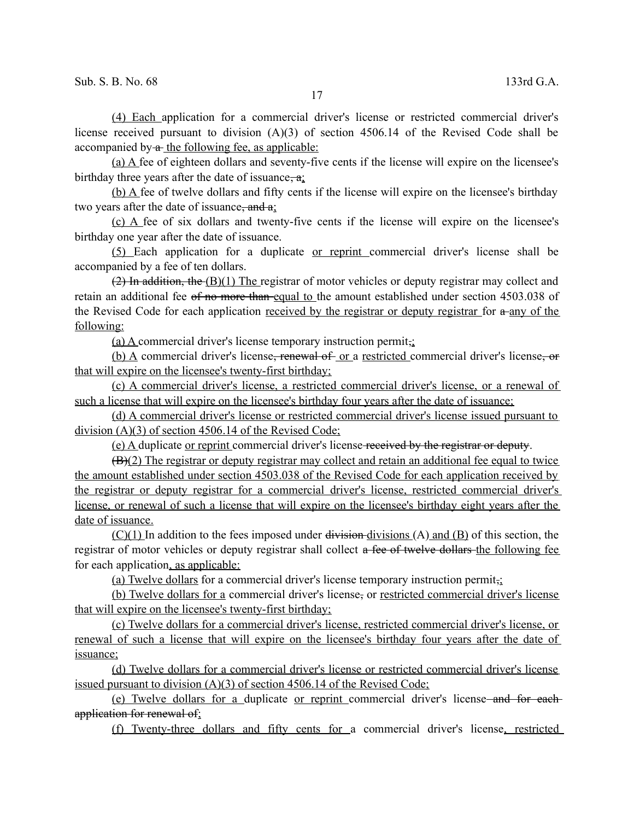(4) Each application for a commercial driver's license or restricted commercial driver's license received pursuant to division (A)(3) of section 4506.14 of the Revised Code shall be accompanied by  $\alpha$  the following fee, as applicable:

(a) A fee of eighteen dollars and seventy-five cents if the license will expire on the licensee's birthday three years after the date of issuance,  $a_{\lambda}$ 

(b) A fee of twelve dollars and fifty cents if the license will expire on the licensee's birthday two years after the date of issuance, and a;

(c) A fee of six dollars and twenty-five cents if the license will expire on the licensee's birthday one year after the date of issuance.

(5) Each application for a duplicate or reprint commercial driver's license shall be accompanied by a fee of ten dollars.

(2) In addition, the (B)(1) The registrar of motor vehicles or deputy registrar may collect and retain an additional fee of no more than equal to the amount established under section 4503.038 of the Revised Code for each application received by the registrar or deputy registrar for  $a$ -any of the following:

(a) A commercial driver's license temporary instruction permit,;

(b) A commercial driver's license<del>, renewal of</del> or a restricted commercial driver's license, or that will expire on the licensee's twenty-first birthday;

(c) A commercial driver's license, a restricted commercial driver's license, or a renewal of such a license that will expire on the licensee's birthday four years after the date of issuance;

(d) A commercial driver's license or restricted commercial driver's license issued pursuant to division (A)(3) of section 4506.14 of the Revised Code;

(e) A duplicate or reprint commercial driver's license received by the registrar or deputy.

(B)(2) The registrar or deputy registrar may collect and retain an additional fee equal to twice the amount established under section 4503.038 of the Revised Code for each application received by the registrar or deputy registrar for a commercial driver's license, restricted commercial driver's license, or renewal of such a license that will expire on the licensee's birthday eight years after the date of issuance.

 $(C)(1)$  In addition to the fees imposed under division-divisions (A) and (B) of this section, the registrar of motor vehicles or deputy registrar shall collect a fee of twelve dollars the following fee for each application, as applicable:

(a) Twelve dollars for a commercial driver's license temporary instruction permit,;

(b) Twelve dollars for a commercial driver's license, or restricted commercial driver's license that will expire on the licensee's twenty-first birthday;

(c) Twelve dollars for a commercial driver's license, restricted commercial driver's license, or renewal of such a license that will expire on the licensee's birthday four years after the date of issuance;

(d) Twelve dollars for a commercial driver's license or restricted commercial driver's license issued pursuant to division (A)(3) of section 4506.14 of the Revised Code;

(e) Twelve dollars for a duplicate or reprint commercial driver's license and for each application for renewal of;

(f) Twenty-three dollars and fifty cents for a commercial driver's license, restricted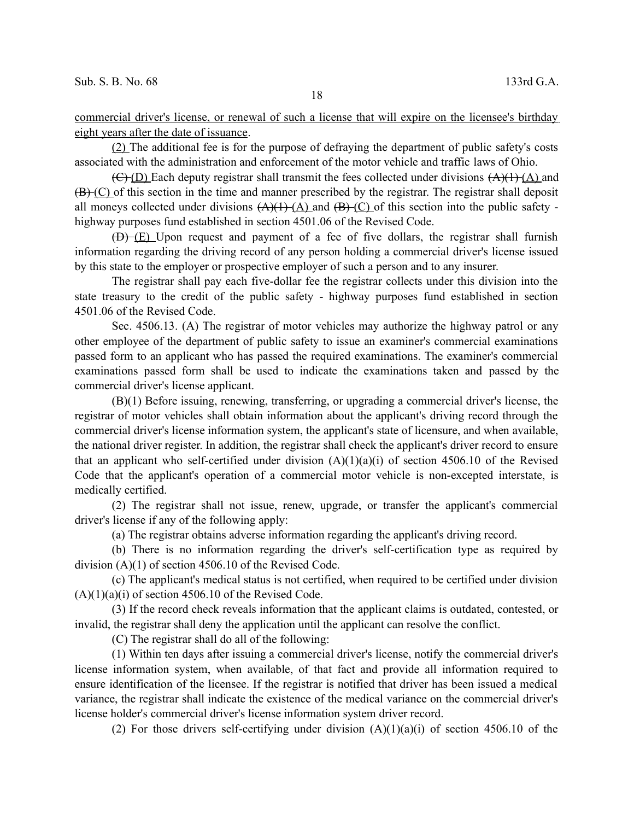commercial driver's license, or renewal of such a license that will expire on the licensee's birthday eight years after the date of issuance.

(2) The additional fee is for the purpose of defraying the department of public safety's costs associated with the administration and enforcement of the motor vehicle and traffic laws of Ohio.

 $(\text{C})$  Each deputy registrar shall transmit the fees collected under divisions  $(A)(1)$  (A) and  $(B)$  (C) of this section in the time and manner prescribed by the registrar. The registrar shall deposit all moneys collected under divisions  $(A)(1) (A)$  and  $(B) (C)$  of this section into the public safety highway purposes fund established in section 4501.06 of the Revised Code.

(D) (E) Upon request and payment of a fee of five dollars, the registrar shall furnish information regarding the driving record of any person holding a commercial driver's license issued by this state to the employer or prospective employer of such a person and to any insurer.

The registrar shall pay each five-dollar fee the registrar collects under this division into the state treasury to the credit of the public safety - highway purposes fund established in section 4501.06 of the Revised Code.

Sec. 4506.13. (A) The registrar of motor vehicles may authorize the highway patrol or any other employee of the department of public safety to issue an examiner's commercial examinations passed form to an applicant who has passed the required examinations. The examiner's commercial examinations passed form shall be used to indicate the examinations taken and passed by the commercial driver's license applicant.

(B)(1) Before issuing, renewing, transferring, or upgrading a commercial driver's license, the registrar of motor vehicles shall obtain information about the applicant's driving record through the commercial driver's license information system, the applicant's state of licensure, and when available, the national driver register. In addition, the registrar shall check the applicant's driver record to ensure that an applicant who self-certified under division  $(A)(1)(a)(i)$  of section 4506.10 of the Revised Code that the applicant's operation of a commercial motor vehicle is non-excepted interstate, is medically certified.

(2) The registrar shall not issue, renew, upgrade, or transfer the applicant's commercial driver's license if any of the following apply:

(a) The registrar obtains adverse information regarding the applicant's driving record.

(b) There is no information regarding the driver's self-certification type as required by division (A)(1) of section 4506.10 of the Revised Code.

(c) The applicant's medical status is not certified, when required to be certified under division  $(A)(1)(a)(i)$  of section 4506.10 of the Revised Code.

(3) If the record check reveals information that the applicant claims is outdated, contested, or invalid, the registrar shall deny the application until the applicant can resolve the conflict.

(C) The registrar shall do all of the following:

(1) Within ten days after issuing a commercial driver's license, notify the commercial driver's license information system, when available, of that fact and provide all information required to ensure identification of the licensee. If the registrar is notified that driver has been issued a medical variance, the registrar shall indicate the existence of the medical variance on the commercial driver's license holder's commercial driver's license information system driver record.

(2) For those drivers self-certifying under division  $(A)(1)(a)(i)$  of section 4506.10 of the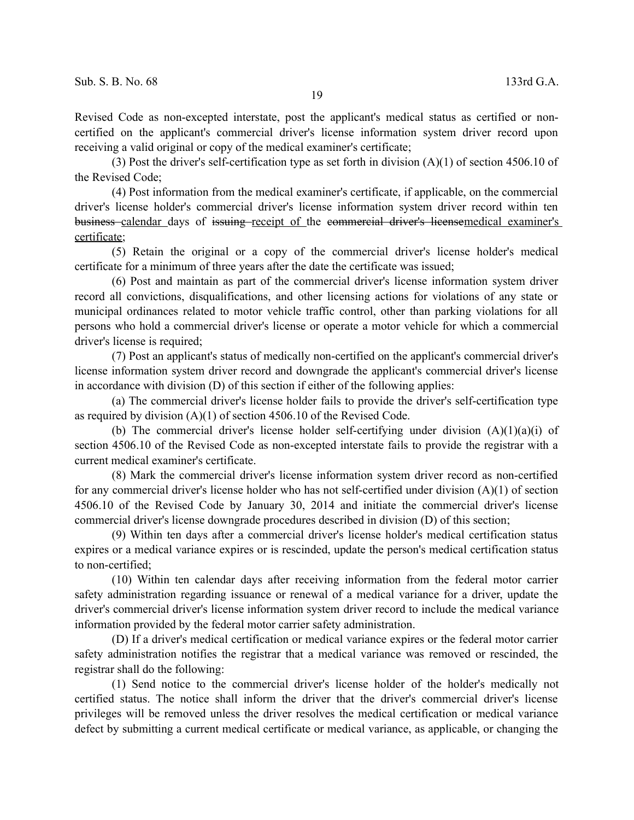Revised Code as non-excepted interstate, post the applicant's medical status as certified or noncertified on the applicant's commercial driver's license information system driver record upon receiving a valid original or copy of the medical examiner's certificate;

(3) Post the driver's self-certification type as set forth in division (A)(1) of section 4506.10 of the Revised Code;

(4) Post information from the medical examiner's certificate, if applicable, on the commercial driver's license holder's commercial driver's license information system driver record within ten business calendar days of issuing receipt of the commercial driver's licensemedical examiner's certificate;

(5) Retain the original or a copy of the commercial driver's license holder's medical certificate for a minimum of three years after the date the certificate was issued;

(6) Post and maintain as part of the commercial driver's license information system driver record all convictions, disqualifications, and other licensing actions for violations of any state or municipal ordinances related to motor vehicle traffic control, other than parking violations for all persons who hold a commercial driver's license or operate a motor vehicle for which a commercial driver's license is required;

(7) Post an applicant's status of medically non-certified on the applicant's commercial driver's license information system driver record and downgrade the applicant's commercial driver's license in accordance with division (D) of this section if either of the following applies:

(a) The commercial driver's license holder fails to provide the driver's self-certification type as required by division (A)(1) of section 4506.10 of the Revised Code.

(b) The commercial driver's license holder self-certifying under division  $(A)(1)(a)(i)$  of section 4506.10 of the Revised Code as non-excepted interstate fails to provide the registrar with a current medical examiner's certificate.

(8) Mark the commercial driver's license information system driver record as non-certified for any commercial driver's license holder who has not self-certified under division (A)(1) of section 4506.10 of the Revised Code by January 30, 2014 and initiate the commercial driver's license commercial driver's license downgrade procedures described in division (D) of this section;

(9) Within ten days after a commercial driver's license holder's medical certification status expires or a medical variance expires or is rescinded, update the person's medical certification status to non-certified;

(10) Within ten calendar days after receiving information from the federal motor carrier safety administration regarding issuance or renewal of a medical variance for a driver, update the driver's commercial driver's license information system driver record to include the medical variance information provided by the federal motor carrier safety administration.

(D) If a driver's medical certification or medical variance expires or the federal motor carrier safety administration notifies the registrar that a medical variance was removed or rescinded, the registrar shall do the following:

(1) Send notice to the commercial driver's license holder of the holder's medically not certified status. The notice shall inform the driver that the driver's commercial driver's license privileges will be removed unless the driver resolves the medical certification or medical variance defect by submitting a current medical certificate or medical variance, as applicable, or changing the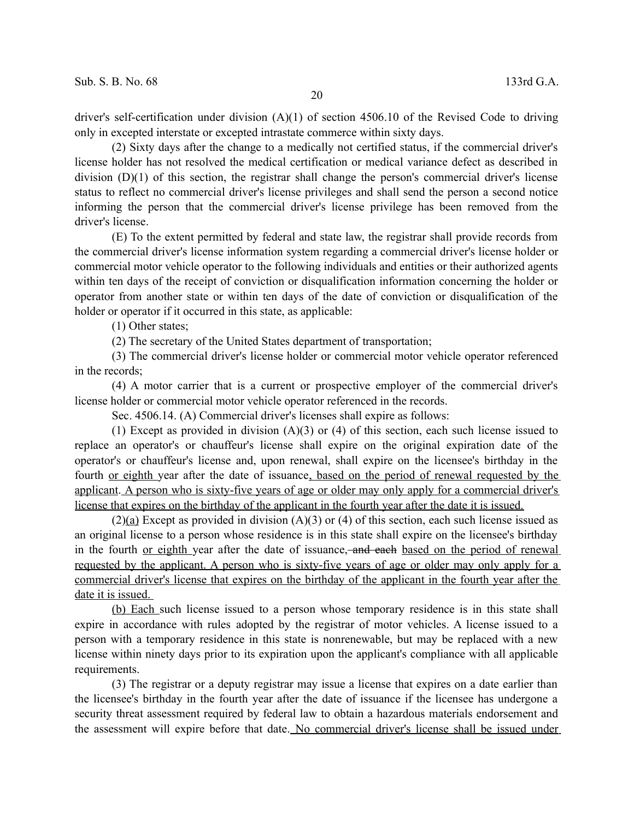driver's self-certification under division  $(A)(1)$  of section 4506.10 of the Revised Code to driving only in excepted interstate or excepted intrastate commerce within sixty days.

(2) Sixty days after the change to a medically not certified status, if the commercial driver's license holder has not resolved the medical certification or medical variance defect as described in division (D)(1) of this section, the registrar shall change the person's commercial driver's license status to reflect no commercial driver's license privileges and shall send the person a second notice informing the person that the commercial driver's license privilege has been removed from the driver's license.

(E) To the extent permitted by federal and state law, the registrar shall provide records from the commercial driver's license information system regarding a commercial driver's license holder or commercial motor vehicle operator to the following individuals and entities or their authorized agents within ten days of the receipt of conviction or disqualification information concerning the holder or operator from another state or within ten days of the date of conviction or disqualification of the holder or operator if it occurred in this state, as applicable:

(1) Other states;

(2) The secretary of the United States department of transportation;

(3) The commercial driver's license holder or commercial motor vehicle operator referenced in the records;

(4) A motor carrier that is a current or prospective employer of the commercial driver's license holder or commercial motor vehicle operator referenced in the records.

Sec. 4506.14. (A) Commercial driver's licenses shall expire as follows:

(1) Except as provided in division (A)(3) or (4) of this section, each such license issued to replace an operator's or chauffeur's license shall expire on the original expiration date of the operator's or chauffeur's license and, upon renewal, shall expire on the licensee's birthday in the fourth or eighth year after the date of issuance, based on the period of renewal requested by the applicant. A person who is sixty-five years of age or older may only apply for a commercial driver's license that expires on the birthday of the applicant in the fourth year after the date it is issued.

 $(2)(a)$  Except as provided in division  $(A)(3)$  or  $(4)$  of this section, each such license issued as an original license to a person whose residence is in this state shall expire on the licensee's birthday in the fourth or eighth year after the date of issuance, and each based on the period of renewal requested by the applicant. A person who is sixty-five years of age or older may only apply for a commercial driver's license that expires on the birthday of the applicant in the fourth year after the date it is issued.

(b) Each such license issued to a person whose temporary residence is in this state shall expire in accordance with rules adopted by the registrar of motor vehicles. A license issued to a person with a temporary residence in this state is nonrenewable, but may be replaced with a new license within ninety days prior to its expiration upon the applicant's compliance with all applicable requirements.

(3) The registrar or a deputy registrar may issue a license that expires on a date earlier than the licensee's birthday in the fourth year after the date of issuance if the licensee has undergone a security threat assessment required by federal law to obtain a hazardous materials endorsement and the assessment will expire before that date. No commercial driver's license shall be issued under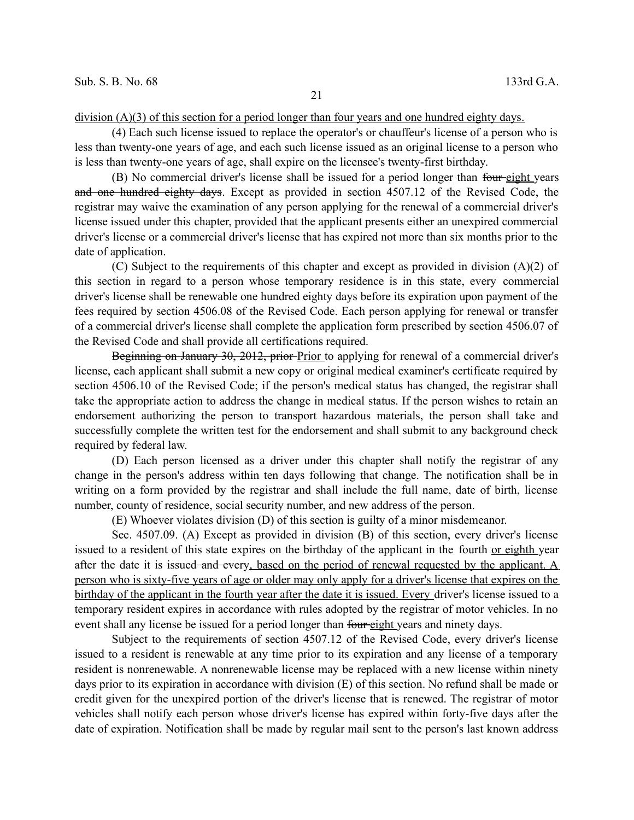division (A)(3) of this section for a period longer than four years and one hundred eighty days.

(4) Each such license issued to replace the operator's or chauffeur's license of a person who is less than twenty-one years of age, and each such license issued as an original license to a person who is less than twenty-one years of age, shall expire on the licensee's twenty-first birthday.

(B) No commercial driver's license shall be issued for a period longer than four-eight years and one hundred eighty days. Except as provided in section 4507.12 of the Revised Code, the registrar may waive the examination of any person applying for the renewal of a commercial driver's license issued under this chapter, provided that the applicant presents either an unexpired commercial driver's license or a commercial driver's license that has expired not more than six months prior to the date of application.

(C) Subject to the requirements of this chapter and except as provided in division (A)(2) of this section in regard to a person whose temporary residence is in this state, every commercial driver's license shall be renewable one hundred eighty days before its expiration upon payment of the fees required by section 4506.08 of the Revised Code. Each person applying for renewal or transfer of a commercial driver's license shall complete the application form prescribed by section 4506.07 of the Revised Code and shall provide all certifications required.

Beginning on January 30, 2012, prior Prior to applying for renewal of a commercial driver's license, each applicant shall submit a new copy or original medical examiner's certificate required by section 4506.10 of the Revised Code; if the person's medical status has changed, the registrar shall take the appropriate action to address the change in medical status. If the person wishes to retain an endorsement authorizing the person to transport hazardous materials, the person shall take and successfully complete the written test for the endorsement and shall submit to any background check required by federal law.

(D) Each person licensed as a driver under this chapter shall notify the registrar of any change in the person's address within ten days following that change. The notification shall be in writing on a form provided by the registrar and shall include the full name, date of birth, license number, county of residence, social security number, and new address of the person.

(E) Whoever violates division (D) of this section is guilty of a minor misdemeanor.

Sec. 4507.09. (A) Except as provided in division (B) of this section, every driver's license issued to a resident of this state expires on the birthday of the applicant in the fourth or eighth year after the date it is issued and every, based on the period of renewal requested by the applicant. A person who is sixty-five years of age or older may only apply for a driver's license that expires on the birthday of the applicant in the fourth year after the date it is issued. Every driver's license issued to a temporary resident expires in accordance with rules adopted by the registrar of motor vehicles. In no event shall any license be issued for a period longer than four eight years and ninety days.

Subject to the requirements of section 4507.12 of the Revised Code, every driver's license issued to a resident is renewable at any time prior to its expiration and any license of a temporary resident is nonrenewable. A nonrenewable license may be replaced with a new license within ninety days prior to its expiration in accordance with division (E) of this section. No refund shall be made or credit given for the unexpired portion of the driver's license that is renewed. The registrar of motor vehicles shall notify each person whose driver's license has expired within forty-five days after the date of expiration. Notification shall be made by regular mail sent to the person's last known address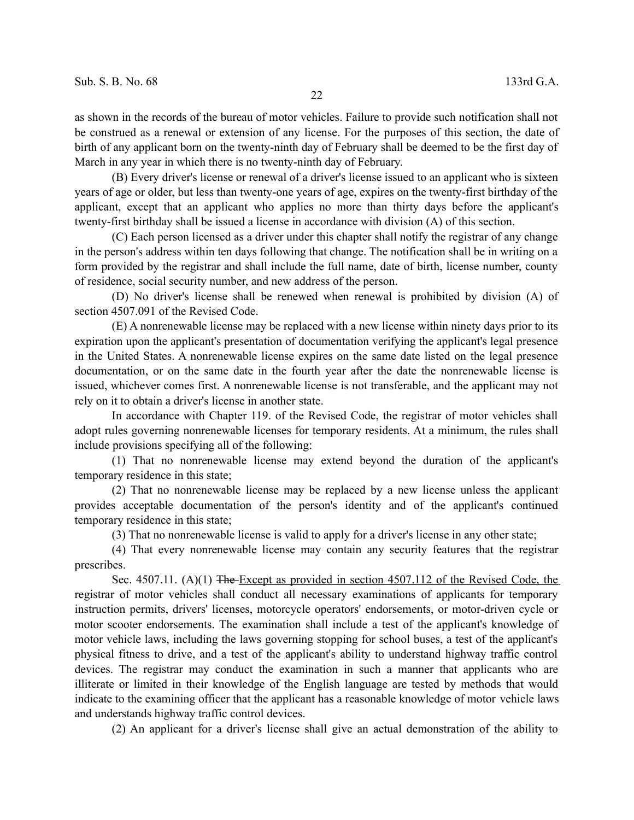as shown in the records of the bureau of motor vehicles. Failure to provide such notification shall not be construed as a renewal or extension of any license. For the purposes of this section, the date of birth of any applicant born on the twenty-ninth day of February shall be deemed to be the first day of March in any year in which there is no twenty-ninth day of February.

(B) Every driver's license or renewal of a driver's license issued to an applicant who is sixteen years of age or older, but less than twenty-one years of age, expires on the twenty-first birthday of the applicant, except that an applicant who applies no more than thirty days before the applicant's twenty-first birthday shall be issued a license in accordance with division (A) of this section.

(C) Each person licensed as a driver under this chapter shall notify the registrar of any change in the person's address within ten days following that change. The notification shall be in writing on a form provided by the registrar and shall include the full name, date of birth, license number, county of residence, social security number, and new address of the person.

(D) No driver's license shall be renewed when renewal is prohibited by division (A) of section 4507.091 of the Revised Code.

(E) A nonrenewable license may be replaced with a new license within ninety days prior to its expiration upon the applicant's presentation of documentation verifying the applicant's legal presence in the United States. A nonrenewable license expires on the same date listed on the legal presence documentation, or on the same date in the fourth year after the date the nonrenewable license is issued, whichever comes first. A nonrenewable license is not transferable, and the applicant may not rely on it to obtain a driver's license in another state.

In accordance with Chapter 119. of the Revised Code, the registrar of motor vehicles shall adopt rules governing nonrenewable licenses for temporary residents. At a minimum, the rules shall include provisions specifying all of the following:

(1) That no nonrenewable license may extend beyond the duration of the applicant's temporary residence in this state;

(2) That no nonrenewable license may be replaced by a new license unless the applicant provides acceptable documentation of the person's identity and of the applicant's continued temporary residence in this state;

(3) That no nonrenewable license is valid to apply for a driver's license in any other state;

(4) That every nonrenewable license may contain any security features that the registrar prescribes.

Sec. 4507.11. (A)(1) The Except as provided in section 4507.112 of the Revised Code, the registrar of motor vehicles shall conduct all necessary examinations of applicants for temporary instruction permits, drivers' licenses, motorcycle operators' endorsements, or motor-driven cycle or motor scooter endorsements. The examination shall include a test of the applicant's knowledge of motor vehicle laws, including the laws governing stopping for school buses, a test of the applicant's physical fitness to drive, and a test of the applicant's ability to understand highway traffic control devices. The registrar may conduct the examination in such a manner that applicants who are illiterate or limited in their knowledge of the English language are tested by methods that would indicate to the examining officer that the applicant has a reasonable knowledge of motor vehicle laws and understands highway traffic control devices.

(2) An applicant for a driver's license shall give an actual demonstration of the ability to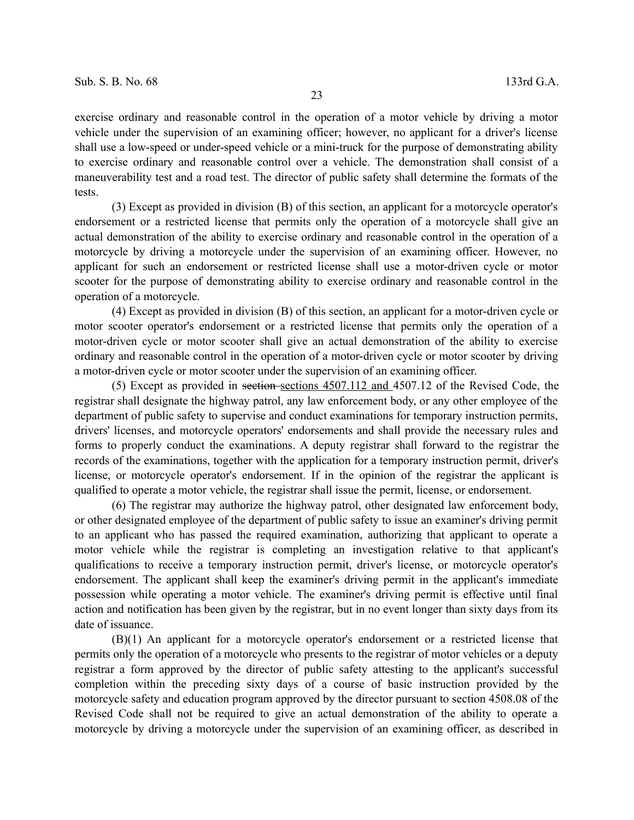exercise ordinary and reasonable control in the operation of a motor vehicle by driving a motor vehicle under the supervision of an examining officer; however, no applicant for a driver's license shall use a low-speed or under-speed vehicle or a mini-truck for the purpose of demonstrating ability to exercise ordinary and reasonable control over a vehicle. The demonstration shall consist of a maneuverability test and a road test. The director of public safety shall determine the formats of the tests.

(3) Except as provided in division (B) of this section, an applicant for a motorcycle operator's endorsement or a restricted license that permits only the operation of a motorcycle shall give an actual demonstration of the ability to exercise ordinary and reasonable control in the operation of a motorcycle by driving a motorcycle under the supervision of an examining officer. However, no applicant for such an endorsement or restricted license shall use a motor-driven cycle or motor scooter for the purpose of demonstrating ability to exercise ordinary and reasonable control in the operation of a motorcycle.

(4) Except as provided in division (B) of this section, an applicant for a motor-driven cycle or motor scooter operator's endorsement or a restricted license that permits only the operation of a motor-driven cycle or motor scooter shall give an actual demonstration of the ability to exercise ordinary and reasonable control in the operation of a motor-driven cycle or motor scooter by driving a motor-driven cycle or motor scooter under the supervision of an examining officer.

(5) Except as provided in section sections 4507.112 and 4507.12 of the Revised Code, the registrar shall designate the highway patrol, any law enforcement body, or any other employee of the department of public safety to supervise and conduct examinations for temporary instruction permits, drivers' licenses, and motorcycle operators' endorsements and shall provide the necessary rules and forms to properly conduct the examinations. A deputy registrar shall forward to the registrar the records of the examinations, together with the application for a temporary instruction permit, driver's license, or motorcycle operator's endorsement. If in the opinion of the registrar the applicant is qualified to operate a motor vehicle, the registrar shall issue the permit, license, or endorsement.

(6) The registrar may authorize the highway patrol, other designated law enforcement body, or other designated employee of the department of public safety to issue an examiner's driving permit to an applicant who has passed the required examination, authorizing that applicant to operate a motor vehicle while the registrar is completing an investigation relative to that applicant's qualifications to receive a temporary instruction permit, driver's license, or motorcycle operator's endorsement. The applicant shall keep the examiner's driving permit in the applicant's immediate possession while operating a motor vehicle. The examiner's driving permit is effective until final action and notification has been given by the registrar, but in no event longer than sixty days from its date of issuance.

(B)(1) An applicant for a motorcycle operator's endorsement or a restricted license that permits only the operation of a motorcycle who presents to the registrar of motor vehicles or a deputy registrar a form approved by the director of public safety attesting to the applicant's successful completion within the preceding sixty days of a course of basic instruction provided by the motorcycle safety and education program approved by the director pursuant to section 4508.08 of the Revised Code shall not be required to give an actual demonstration of the ability to operate a motorcycle by driving a motorcycle under the supervision of an examining officer, as described in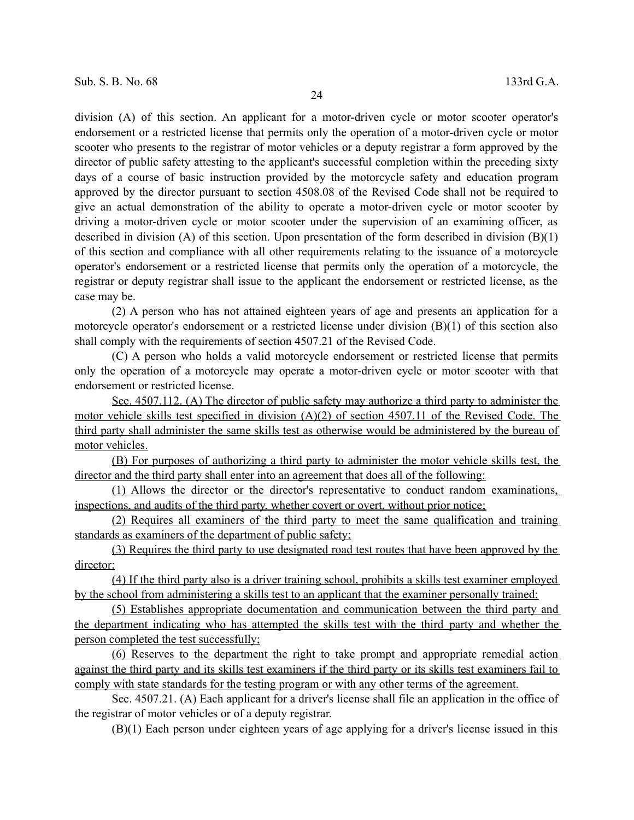division (A) of this section. An applicant for a motor-driven cycle or motor scooter operator's endorsement or a restricted license that permits only the operation of a motor-driven cycle or motor scooter who presents to the registrar of motor vehicles or a deputy registrar a form approved by the director of public safety attesting to the applicant's successful completion within the preceding sixty days of a course of basic instruction provided by the motorcycle safety and education program approved by the director pursuant to section 4508.08 of the Revised Code shall not be required to give an actual demonstration of the ability to operate a motor-driven cycle or motor scooter by driving a motor-driven cycle or motor scooter under the supervision of an examining officer, as described in division (A) of this section. Upon presentation of the form described in division (B)(1) of this section and compliance with all other requirements relating to the issuance of a motorcycle operator's endorsement or a restricted license that permits only the operation of a motorcycle, the registrar or deputy registrar shall issue to the applicant the endorsement or restricted license, as the case may be.

(2) A person who has not attained eighteen years of age and presents an application for a motorcycle operator's endorsement or a restricted license under division (B)(1) of this section also shall comply with the requirements of section 4507.21 of the Revised Code.

(C) A person who holds a valid motorcycle endorsement or restricted license that permits only the operation of a motorcycle may operate a motor-driven cycle or motor scooter with that endorsement or restricted license.

 Sec. 4507.112. (A) The director of public safety may authorize a third party to administer the motor vehicle skills test specified in division (A)(2) of section 4507.11 of the Revised Code. The third party shall administer the same skills test as otherwise would be administered by the bureau of motor vehicles.

(B) For purposes of authorizing a third party to administer the motor vehicle skills test, the director and the third party shall enter into an agreement that does all of the following:

(1) Allows the director or the director's representative to conduct random examinations, inspections, and audits of the third party, whether covert or overt, without prior notice;

(2) Requires all examiners of the third party to meet the same qualification and training standards as examiners of the department of public safety;

(3) Requires the third party to use designated road test routes that have been approved by the director;

(4) If the third party also is a driver training school, prohibits a skills test examiner employed by the school from administering a skills test to an applicant that the examiner personally trained;

(5) Establishes appropriate documentation and communication between the third party and the department indicating who has attempted the skills test with the third party and whether the person completed the test successfully;

(6) Reserves to the department the right to take prompt and appropriate remedial action against the third party and its skills test examiners if the third party or its skills test examiners fail to comply with state standards for the testing program or with any other terms of the agreement.

Sec. 4507.21. (A) Each applicant for a driver's license shall file an application in the office of the registrar of motor vehicles or of a deputy registrar.

(B)(1) Each person under eighteen years of age applying for a driver's license issued in this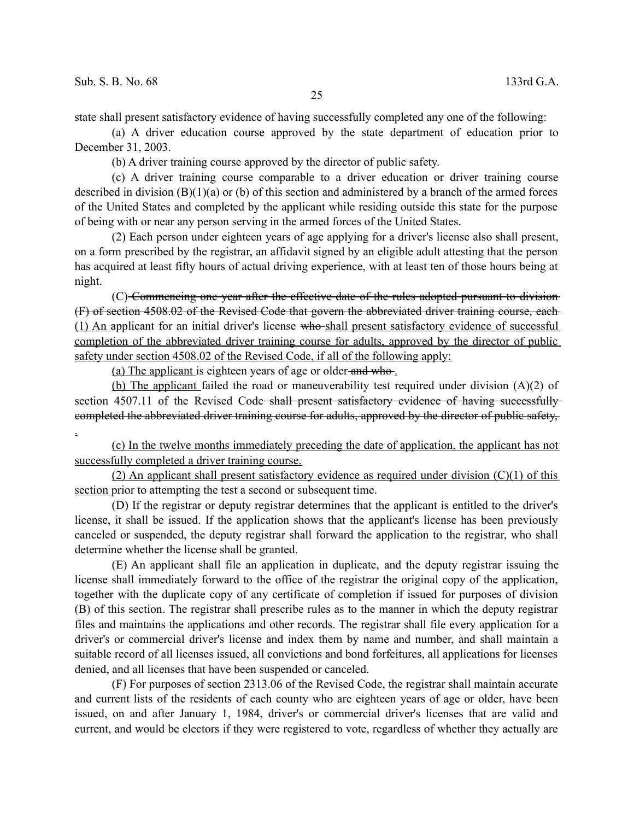state shall present satisfactory evidence of having successfully completed any one of the following:

(a) A driver education course approved by the state department of education prior to December 31, 2003.

(b) A driver training course approved by the director of public safety.

(c) A driver training course comparable to a driver education or driver training course described in division (B)(1)(a) or (b) of this section and administered by a branch of the armed forces of the United States and completed by the applicant while residing outside this state for the purpose of being with or near any person serving in the armed forces of the United States.

(2) Each person under eighteen years of age applying for a driver's license also shall present, on a form prescribed by the registrar, an affidavit signed by an eligible adult attesting that the person has acquired at least fifty hours of actual driving experience, with at least ten of those hours being at night.

(C) Commencing one year after the effective date of the rules adopted pursuant to division (F) of section 4508.02 of the Revised Code that govern the abbreviated driver training course, each (1) An applicant for an initial driver's license who shall present satisfactory evidence of successful completion of the abbreviated driver training course for adults, approved by the director of public safety under section 4508.02 of the Revised Code, if all of the following apply:

(a) The applicant is eighteen years of age or older and who.

(b) The applicant failed the road or maneuverability test required under division (A)(2) of section 4507.11 of the Revised Code-shall present satisfactory evidence of having successfullycompleted the abbreviated driver training course for adults, approved by the director of public safety,

.

(c) In the twelve months immediately preceding the date of application, the applicant has not successfully completed a driver training course.

(2) An applicant shall present satisfactory evidence as required under division  $(C)(1)$  of this section prior to attempting the test a second or subsequent time.

(D) If the registrar or deputy registrar determines that the applicant is entitled to the driver's license, it shall be issued. If the application shows that the applicant's license has been previously canceled or suspended, the deputy registrar shall forward the application to the registrar, who shall determine whether the license shall be granted.

(E) An applicant shall file an application in duplicate, and the deputy registrar issuing the license shall immediately forward to the office of the registrar the original copy of the application, together with the duplicate copy of any certificate of completion if issued for purposes of division (B) of this section. The registrar shall prescribe rules as to the manner in which the deputy registrar files and maintains the applications and other records. The registrar shall file every application for a driver's or commercial driver's license and index them by name and number, and shall maintain a suitable record of all licenses issued, all convictions and bond forfeitures, all applications for licenses denied, and all licenses that have been suspended or canceled.

(F) For purposes of section 2313.06 of the Revised Code, the registrar shall maintain accurate and current lists of the residents of each county who are eighteen years of age or older, have been issued, on and after January 1, 1984, driver's or commercial driver's licenses that are valid and current, and would be electors if they were registered to vote, regardless of whether they actually are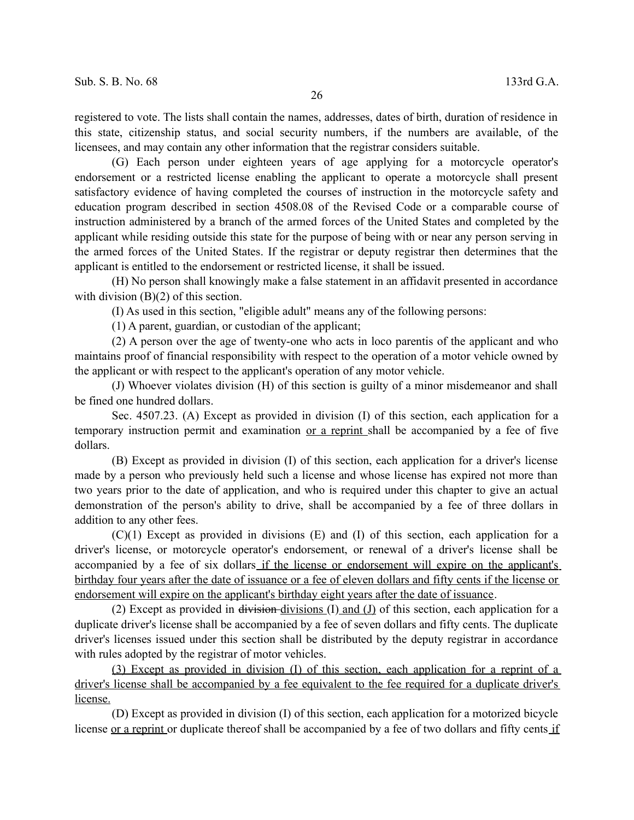registered to vote. The lists shall contain the names, addresses, dates of birth, duration of residence in this state, citizenship status, and social security numbers, if the numbers are available, of the licensees, and may contain any other information that the registrar considers suitable.

(G) Each person under eighteen years of age applying for a motorcycle operator's endorsement or a restricted license enabling the applicant to operate a motorcycle shall present satisfactory evidence of having completed the courses of instruction in the motorcycle safety and education program described in section 4508.08 of the Revised Code or a comparable course of instruction administered by a branch of the armed forces of the United States and completed by the applicant while residing outside this state for the purpose of being with or near any person serving in the armed forces of the United States. If the registrar or deputy registrar then determines that the applicant is entitled to the endorsement or restricted license, it shall be issued.

(H) No person shall knowingly make a false statement in an affidavit presented in accordance with division (B)(2) of this section.

(I) As used in this section, "eligible adult" means any of the following persons:

(1) A parent, guardian, or custodian of the applicant;

(2) A person over the age of twenty-one who acts in loco parentis of the applicant and who maintains proof of financial responsibility with respect to the operation of a motor vehicle owned by the applicant or with respect to the applicant's operation of any motor vehicle.

(J) Whoever violates division (H) of this section is guilty of a minor misdemeanor and shall be fined one hundred dollars.

Sec. 4507.23. (A) Except as provided in division (I) of this section, each application for a temporary instruction permit and examination or a reprint shall be accompanied by a fee of five dollars.

(B) Except as provided in division (I) of this section, each application for a driver's license made by a person who previously held such a license and whose license has expired not more than two years prior to the date of application, and who is required under this chapter to give an actual demonstration of the person's ability to drive, shall be accompanied by a fee of three dollars in addition to any other fees.

(C)(1) Except as provided in divisions (E) and (I) of this section, each application for a driver's license, or motorcycle operator's endorsement, or renewal of a driver's license shall be accompanied by a fee of six dollars if the license or endorsement will expire on the applicant's birthday four years after the date of issuance or a fee of eleven dollars and fifty cents if the license or endorsement will expire on the applicant's birthday eight years after the date of issuance.

(2) Except as provided in division divisions (I) and (J) of this section, each application for a duplicate driver's license shall be accompanied by a fee of seven dollars and fifty cents. The duplicate driver's licenses issued under this section shall be distributed by the deputy registrar in accordance with rules adopted by the registrar of motor vehicles.

(3) Except as provided in division (I) of this section, each application for a reprint of a driver's license shall be accompanied by a fee equivalent to the fee required for a duplicate driver's license.

(D) Except as provided in division (I) of this section, each application for a motorized bicycle license <u>or a reprint</u> or duplicate thereof shall be accompanied by a fee of two dollars and fifty cents if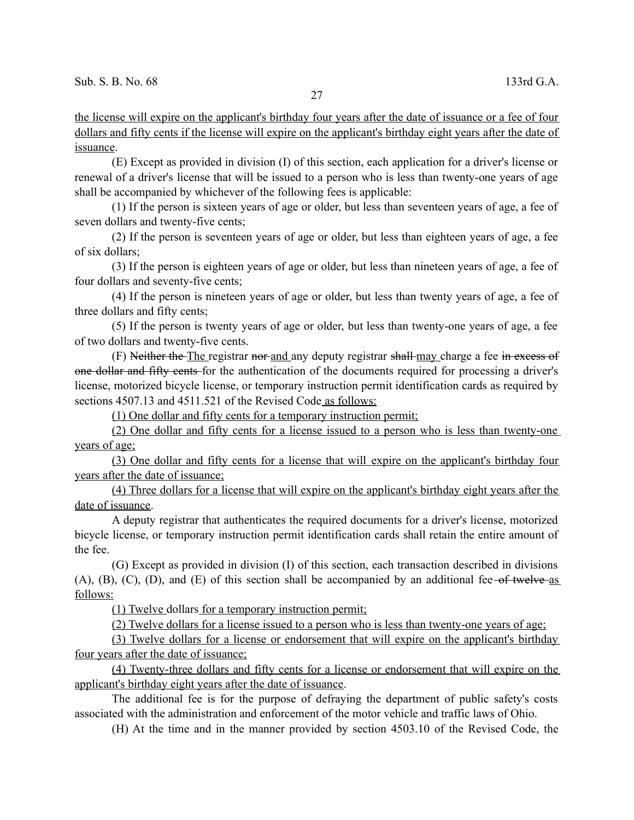the license will expire on the applicant's birthday four years after the date of issuance or a fee of four dollars and fifty cents if the license will expire on the applicant's birthday eight years after the date of issuance.

(E) Except as provided in division (I) of this section, each application for a driver's license or renewal of a driver's license that will be issued to a person who is less than twenty-one years of age shall be accompanied by whichever of the following fees is applicable:

(1) If the person is sixteen years of age or older, but less than seventeen years of age, a fee of seven dollars and twenty-five cents;

(2) If the person is seventeen years of age or older, but less than eighteen years of age, a fee of six dollars;

(3) If the person is eighteen years of age or older, but less than nineteen years of age, a fee of four dollars and seventy-five cents;

(4) If the person is nineteen years of age or older, but less than twenty years of age, a fee of three dollars and fifty cents;

(5) If the person is twenty years of age or older, but less than twenty-one years of age, a fee of two dollars and twenty-five cents.

(F) Neither the The registrar nor and any deputy registrar shall may charge a fee in excess of one dollar and fifty cents for the authentication of the documents required for processing a driver's license, motorized bicycle license, or temporary instruction permit identification cards as required by sections 4507.13 and 4511.521 of the Revised Code as follows:

(1) One dollar and fifty cents for a temporary instruction permit;

(2) One dollar and fifty cents for a license issued to a person who is less than twenty-one years of age;

 (3) One dollar and fifty cents for a license that will expire on the applicant's birthday four years after the date of issuance;

(4) Three dollars for a license that will expire on the applicant's birthday eight years after the date of issuance.

A deputy registrar that authenticates the required documents for a driver's license, motorized bicycle license, or temporary instruction permit identification cards shall retain the entire amount of the fee.

(G) Except as provided in division (I) of this section, each transaction described in divisions (A), (B), (C), (D), and (E) of this section shall be accompanied by an additional fee  $-$ of twelve as follows:

(1) Twelve dollars for a temporary instruction permit;

(2) Twelve dollars for a license issued to a person who is less than twenty-one years of age;

(3) Twelve dollars for a license or endorsement that will expire on the applicant's birthday four years after the date of issuance;

(4) Twenty-three dollars and fifty cents for a license or endorsement that will expire on the applicant's birthday eight years after the date of issuance.

The additional fee is for the purpose of defraying the department of public safety's costs associated with the administration and enforcement of the motor vehicle and traffic laws of Ohio.

(H) At the time and in the manner provided by section 4503.10 of the Revised Code, the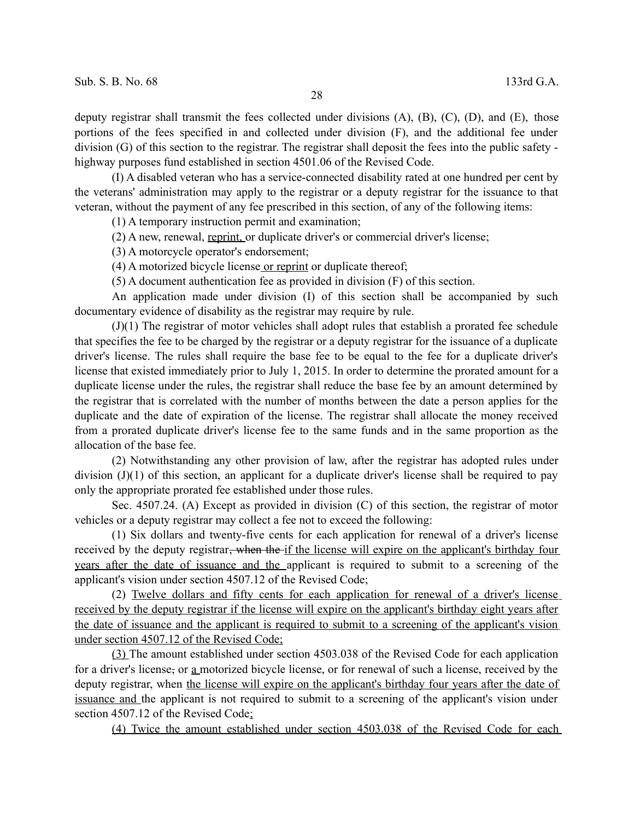deputy registrar shall transmit the fees collected under divisions  $(A)$ ,  $(B)$ ,  $(C)$ ,  $(D)$ , and  $(E)$ , those portions of the fees specified in and collected under division (F), and the additional fee under division (G) of this section to the registrar. The registrar shall deposit the fees into the public safety highway purposes fund established in section 4501.06 of the Revised Code.

(I) A disabled veteran who has a service-connected disability rated at one hundred per cent by the veterans' administration may apply to the registrar or a deputy registrar for the issuance to that veteran, without the payment of any fee prescribed in this section, of any of the following items:

(1) A temporary instruction permit and examination;

(2) A new, renewal, reprint, or duplicate driver's or commercial driver's license;

(3) A motorcycle operator's endorsement;

(4) A motorized bicycle license or reprint or duplicate thereof;

(5) A document authentication fee as provided in division (F) of this section.

An application made under division (I) of this section shall be accompanied by such documentary evidence of disability as the registrar may require by rule.

(J)(1) The registrar of motor vehicles shall adopt rules that establish a prorated fee schedule that specifies the fee to be charged by the registrar or a deputy registrar for the issuance of a duplicate driver's license. The rules shall require the base fee to be equal to the fee for a duplicate driver's license that existed immediately prior to July 1, 2015. In order to determine the prorated amount for a duplicate license under the rules, the registrar shall reduce the base fee by an amount determined by the registrar that is correlated with the number of months between the date a person applies for the duplicate and the date of expiration of the license. The registrar shall allocate the money received from a prorated duplicate driver's license fee to the same funds and in the same proportion as the allocation of the base fee.

(2) Notwithstanding any other provision of law, after the registrar has adopted rules under division  $J(1)$  of this section, an applicant for a duplicate driver's license shall be required to pay only the appropriate prorated fee established under those rules.

Sec. 4507.24. (A) Except as provided in division (C) of this section, the registrar of motor vehicles or a deputy registrar may collect a fee not to exceed the following:

(1) Six dollars and twenty-five cents for each application for renewal of a driver's license received by the deputy registrar<del>, when the if the license will expire on the applicant's birthday four</del> years after the date of issuance and the applicant is required to submit to a screening of the applicant's vision under section 4507.12 of the Revised Code;

(2) Twelve dollars and fifty cents for each application for renewal of a driver's license received by the deputy registrar if the license will expire on the applicant's birthday eight years after the date of issuance and the applicant is required to submit to a screening of the applicant's vision under section 4507.12 of the Revised Code;

(3) The amount established under section 4503.038 of the Revised Code for each application for a driver's license, or a motorized bicycle license, or for renewal of such a license, received by the deputy registrar, when the license will expire on the applicant's birthday four years after the date of issuance and the applicant is not required to submit to a screening of the applicant's vision under section 4507.12 of the Revised Code;

(4) Twice the amount established under section 4503.038 of the Revised Code for each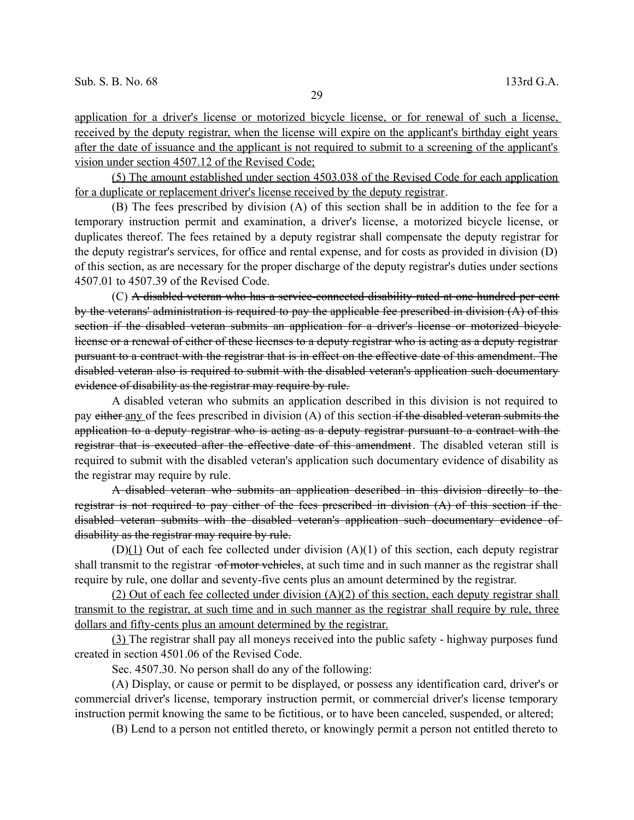application for a driver's license or motorized bicycle license, or for renewal of such a license, received by the deputy registrar, when the license will expire on the applicant's birthday eight years after the date of issuance and the applicant is not required to submit to a screening of the applicant's vision under section 4507.12 of the Revised Code;

(5) The amount established under section 4503.038 of the Revised Code for each application for a duplicate or replacement driver's license received by the deputy registrar.

(B) The fees prescribed by division (A) of this section shall be in addition to the fee for a temporary instruction permit and examination, a driver's license, a motorized bicycle license, or duplicates thereof. The fees retained by a deputy registrar shall compensate the deputy registrar for the deputy registrar's services, for office and rental expense, and for costs as provided in division (D) of this section, as are necessary for the proper discharge of the deputy registrar's duties under sections 4507.01 to 4507.39 of the Revised Code.

(C) A disabled veteran who has a service-connected disability rated at one hundred per cent by the veterans' administration is required to pay the applicable fee prescribed in division (A) of this section if the disabled veteran submits an application for a driver's license or motorized bicycle license or a renewal of either of these licenses to a deputy registrar who is acting as a deputy registrar pursuant to a contract with the registrar that is in effect on the effective date of this amendment. The disabled veteran also is required to submit with the disabled veteran's application such documentary evidence of disability as the registrar may require by rule.

A disabled veteran who submits an application described in this division is not required to pay either any of the fees prescribed in division (A) of this section if the disabled veteran submits the application to a deputy registrar who is acting as a deputy registrar pursuant to a contract with the registrar that is executed after the effective date of this amendment. The disabled veteran still is required to submit with the disabled veteran's application such documentary evidence of disability as the registrar may require by rule.

A disabled veteran who submits an application described in this division directly to the registrar is not required to pay either of the fees prescribed in division (A) of this section if the disabled veteran submits with the disabled veteran's application such documentary evidence of disability as the registrar may require by rule.

 $(D)(1)$  Out of each fee collected under division  $(A)(1)$  of this section, each deputy registrar shall transmit to the registrar  $\overline{\text{off} \text{motor} \text{ vehicles}}$ , at such time and in such manner as the registrar shall require by rule, one dollar and seventy-five cents plus an amount determined by the registrar.

(2) Out of each fee collected under division (A)(2) of this section, each deputy registrar shall transmit to the registrar, at such time and in such manner as the registrar shall require by rule, three dollars and fifty-cents plus an amount determined by the registrar.

(3) The registrar shall pay all moneys received into the public safety - highway purposes fund created in section 4501.06 of the Revised Code.

Sec. 4507.30. No person shall do any of the following:

(A) Display, or cause or permit to be displayed, or possess any identification card, driver's or commercial driver's license, temporary instruction permit, or commercial driver's license temporary instruction permit knowing the same to be fictitious, or to have been canceled, suspended, or altered;

(B) Lend to a person not entitled thereto, or knowingly permit a person not entitled thereto to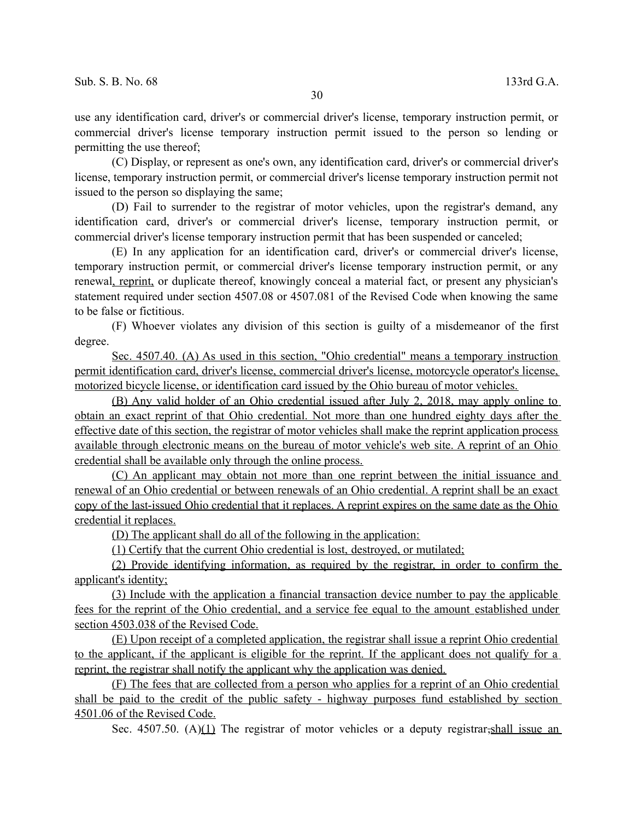use any identification card, driver's or commercial driver's license, temporary instruction permit, or commercial driver's license temporary instruction permit issued to the person so lending or permitting the use thereof;

(C) Display, or represent as one's own, any identification card, driver's or commercial driver's license, temporary instruction permit, or commercial driver's license temporary instruction permit not issued to the person so displaying the same;

(D) Fail to surrender to the registrar of motor vehicles, upon the registrar's demand, any identification card, driver's or commercial driver's license, temporary instruction permit, or commercial driver's license temporary instruction permit that has been suspended or canceled;

(E) In any application for an identification card, driver's or commercial driver's license, temporary instruction permit, or commercial driver's license temporary instruction permit, or any renewal, reprint, or duplicate thereof, knowingly conceal a material fact, or present any physician's statement required under section 4507.08 or 4507.081 of the Revised Code when knowing the same to be false or fictitious.

(F) Whoever violates any division of this section is guilty of a misdemeanor of the first degree.

 Sec. 4507.40. (A) As used in this section, "Ohio credential" means a temporary instruction permit identification card, driver's license, commercial driver's license, motorcycle operator's license, motorized bicycle license, or identification card issued by the Ohio bureau of motor vehicles.

(B) Any valid holder of an Ohio credential issued after July 2, 2018, may apply online to obtain an exact reprint of that Ohio credential. Not more than one hundred eighty days after the effective date of this section, the registrar of motor vehicles shall make the reprint application process available through electronic means on the bureau of motor vehicle's web site. A reprint of an Ohio credential shall be available only through the online process.

(C) An applicant may obtain not more than one reprint between the initial issuance and renewal of an Ohio credential or between renewals of an Ohio credential. A reprint shall be an exact copy of the last-issued Ohio credential that it replaces. A reprint expires on the same date as the Ohio credential it replaces.

(D) The applicant shall do all of the following in the application:

(1) Certify that the current Ohio credential is lost, destroyed, or mutilated;

(2) Provide identifying information, as required by the registrar, in order to confirm the applicant's identity;

(3) Include with the application a financial transaction device number to pay the applicable fees for the reprint of the Ohio credential, and a service fee equal to the amount established under section 4503.038 of the Revised Code.

(E) Upon receipt of a completed application, the registrar shall issue a reprint Ohio credential to the applicant, if the applicant is eligible for the reprint. If the applicant does not qualify for a reprint, the registrar shall notify the applicant why the application was denied.

(F) The fees that are collected from a person who applies for a reprint of an Ohio credential shall be paid to the credit of the public safety - highway purposes fund established by section 4501.06 of the Revised Code.

Sec.  $4507.50$ .  $(A)(1)$  The registrar of motor vehicles or a deputy registrar, shall issue an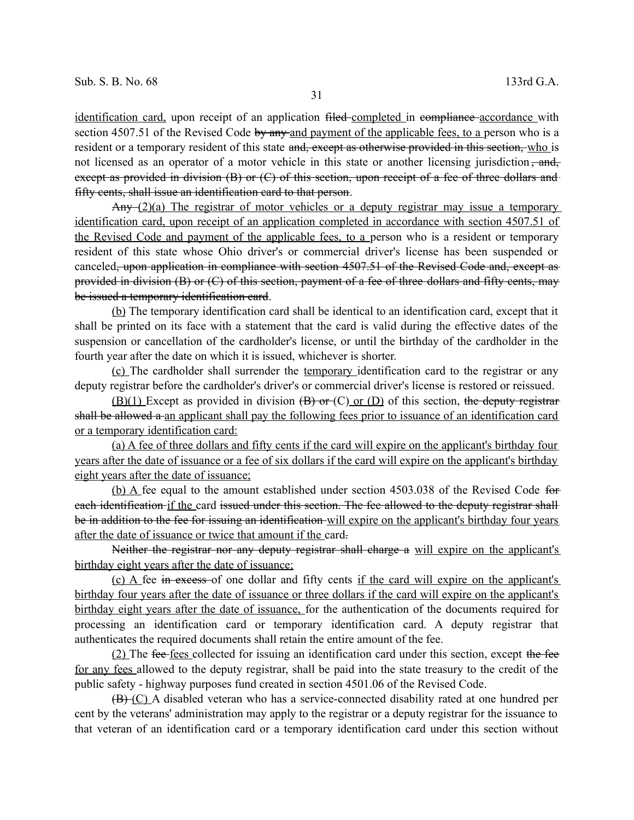identification card, upon receipt of an application filed completed in compliance accordance with section 4507.51 of the Revised Code by any and payment of the applicable fees, to a person who is a resident or a temporary resident of this state and, except as otherwise provided in this section, who is not licensed as an operator of a motor vehicle in this state or another licensing jurisdiction  $\frac{1}{\sqrt{2}}$ except as provided in division (B) or (C) of this section, upon receipt of a fee of three dollars and fifty cents, shall issue an identification card to that person.

 $Any (2)(a)$  The registrar of motor vehicles or a deputy registrar may issue a temporary identification card, upon receipt of an application completed in accordance with section 4507.51 of the Revised Code and payment of the applicable fees, to a person who is a resident or temporary resident of this state whose Ohio driver's or commercial driver's license has been suspended or canceled, upon application in compliance with section 4507.51 of the Revised Code and, except as provided in division (B) or (C) of this section, payment of a fee of three dollars and fifty cents, may be issued a temporary identification card.

(b) The temporary identification card shall be identical to an identification card, except that it shall be printed on its face with a statement that the card is valid during the effective dates of the suspension or cancellation of the cardholder's license, or until the birthday of the cardholder in the fourth year after the date on which it is issued, whichever is shorter.

(c) The cardholder shall surrender the temporary identification card to the registrar or any deputy registrar before the cardholder's driver's or commercial driver's license is restored or reissued.

 $(B)(1)$  Except as provided in division  $(B)$  or  $(C)$  or  $(D)$  of this section, the deputy registrar shall be allowed a an applicant shall pay the following fees prior to issuance of an identification card or a temporary identification card:

(a) A fee of three dollars and fifty cents if the card will expire on the applicant's birthday four years after the date of issuance or a fee of six dollars if the card will expire on the applicant's birthday eight years after the date of issuance;

(b) A fee equal to the amount established under section 4503.038 of the Revised Code for each identification if the card issued under this section. The fee allowed to the deputy registrar shall be in addition to the fee for issuing an identification will expire on the applicant's birthday four years after the date of issuance or twice that amount if the card-

Neither the registrar nor any deputy registrar shall charge a will expire on the applicant's birthday eight years after the date of issuance;

(c) A fee in excess of one dollar and fifty cents if the card will expire on the applicant's birthday four years after the date of issuance or three dollars if the card will expire on the applicant's birthday eight years after the date of issuance, for the authentication of the documents required for processing an identification card or temporary identification card. A deputy registrar that authenticates the required documents shall retain the entire amount of the fee.

(2) The fee fees collected for issuing an identification card under this section, except the fee for any fees allowed to the deputy registrar, shall be paid into the state treasury to the credit of the public safety - highway purposes fund created in section 4501.06 of the Revised Code.

 $(B)$  (C) A disabled veteran who has a service-connected disability rated at one hundred per cent by the veterans' administration may apply to the registrar or a deputy registrar for the issuance to that veteran of an identification card or a temporary identification card under this section without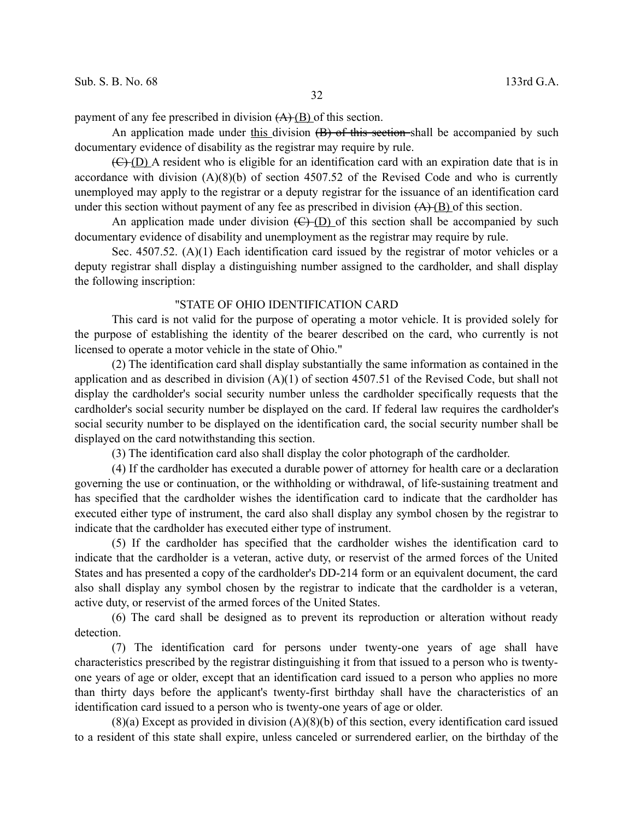payment of any fee prescribed in division  $(A)$   $(B)$  of this section.

An application made under this division  $(B)$  of this section-shall be accompanied by such documentary evidence of disability as the registrar may require by rule.

(C) (D) A resident who is eligible for an identification card with an expiration date that is in accordance with division (A)(8)(b) of section 4507.52 of the Revised Code and who is currently unemployed may apply to the registrar or a deputy registrar for the issuance of an identification card under this section without payment of any fee as prescribed in division  $(A)$   $(B)$  of this section.

An application made under division  $\left(\frac{C}{D}\right)$  of this section shall be accompanied by such documentary evidence of disability and unemployment as the registrar may require by rule.

Sec. 4507.52. (A)(1) Each identification card issued by the registrar of motor vehicles or a deputy registrar shall display a distinguishing number assigned to the cardholder, and shall display the following inscription:

## "STATE OF OHIO IDENTIFICATION CARD

This card is not valid for the purpose of operating a motor vehicle. It is provided solely for the purpose of establishing the identity of the bearer described on the card, who currently is not licensed to operate a motor vehicle in the state of Ohio."

(2) The identification card shall display substantially the same information as contained in the application and as described in division  $(A)(1)$  of section 4507.51 of the Revised Code, but shall not display the cardholder's social security number unless the cardholder specifically requests that the cardholder's social security number be displayed on the card. If federal law requires the cardholder's social security number to be displayed on the identification card, the social security number shall be displayed on the card notwithstanding this section.

(3) The identification card also shall display the color photograph of the cardholder.

(4) If the cardholder has executed a durable power of attorney for health care or a declaration governing the use or continuation, or the withholding or withdrawal, of life-sustaining treatment and has specified that the cardholder wishes the identification card to indicate that the cardholder has executed either type of instrument, the card also shall display any symbol chosen by the registrar to indicate that the cardholder has executed either type of instrument.

(5) If the cardholder has specified that the cardholder wishes the identification card to indicate that the cardholder is a veteran, active duty, or reservist of the armed forces of the United States and has presented a copy of the cardholder's DD-214 form or an equivalent document, the card also shall display any symbol chosen by the registrar to indicate that the cardholder is a veteran, active duty, or reservist of the armed forces of the United States.

(6) The card shall be designed as to prevent its reproduction or alteration without ready detection.

(7) The identification card for persons under twenty-one years of age shall have characteristics prescribed by the registrar distinguishing it from that issued to a person who is twentyone years of age or older, except that an identification card issued to a person who applies no more than thirty days before the applicant's twenty-first birthday shall have the characteristics of an identification card issued to a person who is twenty-one years of age or older.

(8)(a) Except as provided in division (A)(8)(b) of this section, every identification card issued to a resident of this state shall expire, unless canceled or surrendered earlier, on the birthday of the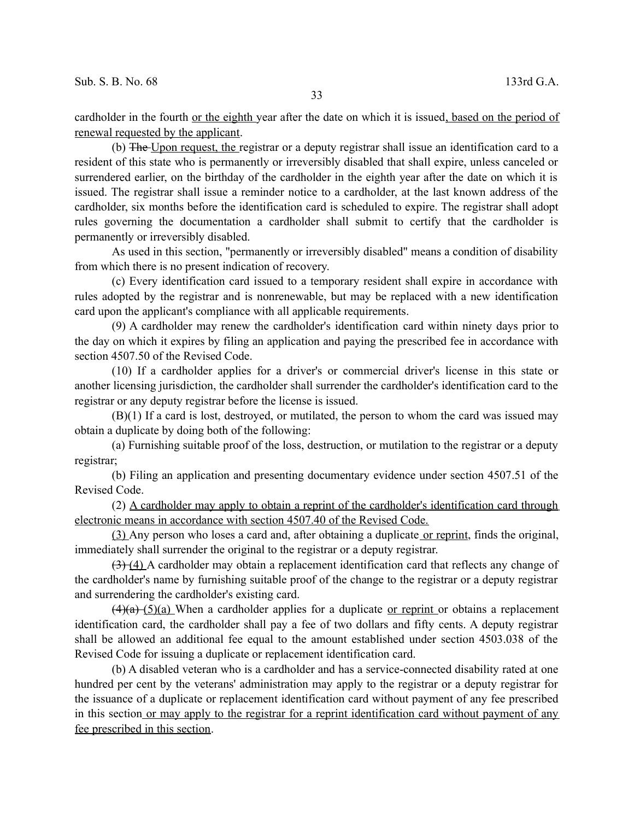cardholder in the fourth <u>or the eighth year</u> after the date on which it is issued, based on the period of renewal requested by the applicant.

(b) The Upon request, the registrar or a deputy registrar shall issue an identification card to a resident of this state who is permanently or irreversibly disabled that shall expire, unless canceled or surrendered earlier, on the birthday of the cardholder in the eighth year after the date on which it is issued. The registrar shall issue a reminder notice to a cardholder, at the last known address of the cardholder, six months before the identification card is scheduled to expire. The registrar shall adopt rules governing the documentation a cardholder shall submit to certify that the cardholder is permanently or irreversibly disabled.

As used in this section, "permanently or irreversibly disabled" means a condition of disability from which there is no present indication of recovery.

(c) Every identification card issued to a temporary resident shall expire in accordance with rules adopted by the registrar and is nonrenewable, but may be replaced with a new identification card upon the applicant's compliance with all applicable requirements.

(9) A cardholder may renew the cardholder's identification card within ninety days prior to the day on which it expires by filing an application and paying the prescribed fee in accordance with section 4507.50 of the Revised Code.

(10) If a cardholder applies for a driver's or commercial driver's license in this state or another licensing jurisdiction, the cardholder shall surrender the cardholder's identification card to the registrar or any deputy registrar before the license is issued.

(B)(1) If a card is lost, destroyed, or mutilated, the person to whom the card was issued may obtain a duplicate by doing both of the following:

(a) Furnishing suitable proof of the loss, destruction, or mutilation to the registrar or a deputy registrar;

(b) Filing an application and presenting documentary evidence under section 4507.51 of the Revised Code.

(2) A cardholder may apply to obtain a reprint of the cardholder's identification card through electronic means in accordance with section 4507.40 of the Revised Code.

(3) Any person who loses a card and, after obtaining a duplicate or reprint, finds the original, immediately shall surrender the original to the registrar or a deputy registrar.

 $(3)$  (4) A cardholder may obtain a replacement identification card that reflects any change of the cardholder's name by furnishing suitable proof of the change to the registrar or a deputy registrar and surrendering the cardholder's existing card.

 $\left(\frac{4}{a}\right)\left(\frac{5}{a}\right)$  When a cardholder applies for a duplicate <u>or reprint</u> or obtains a replacement identification card, the cardholder shall pay a fee of two dollars and fifty cents. A deputy registrar shall be allowed an additional fee equal to the amount established under section 4503.038 of the Revised Code for issuing a duplicate or replacement identification card.

(b) A disabled veteran who is a cardholder and has a service-connected disability rated at one hundred per cent by the veterans' administration may apply to the registrar or a deputy registrar for the issuance of a duplicate or replacement identification card without payment of any fee prescribed in this section or may apply to the registrar for a reprint identification card without payment of any fee prescribed in this section.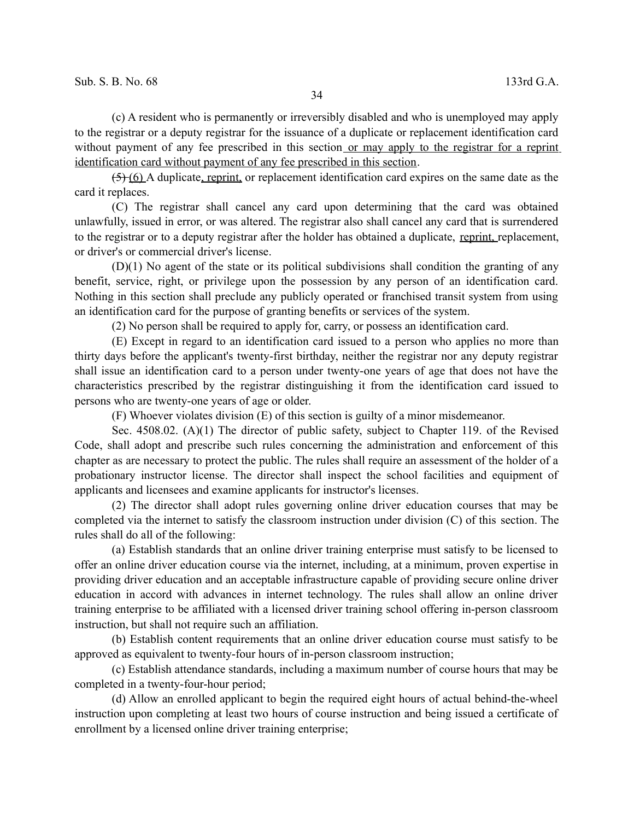(c) A resident who is permanently or irreversibly disabled and who is unemployed may apply to the registrar or a deputy registrar for the issuance of a duplicate or replacement identification card without payment of any fee prescribed in this section or may apply to the registrar for a reprint identification card without payment of any fee prescribed in this section.

(5) (6) A duplicate, reprint, or replacement identification card expires on the same date as the card it replaces.

(C) The registrar shall cancel any card upon determining that the card was obtained unlawfully, issued in error, or was altered. The registrar also shall cancel any card that is surrendered to the registrar or to a deputy registrar after the holder has obtained a duplicate, reprint, replacement, or driver's or commercial driver's license.

(D)(1) No agent of the state or its political subdivisions shall condition the granting of any benefit, service, right, or privilege upon the possession by any person of an identification card. Nothing in this section shall preclude any publicly operated or franchised transit system from using an identification card for the purpose of granting benefits or services of the system.

(2) No person shall be required to apply for, carry, or possess an identification card.

(E) Except in regard to an identification card issued to a person who applies no more than thirty days before the applicant's twenty-first birthday, neither the registrar nor any deputy registrar shall issue an identification card to a person under twenty-one years of age that does not have the characteristics prescribed by the registrar distinguishing it from the identification card issued to persons who are twenty-one years of age or older.

(F) Whoever violates division (E) of this section is guilty of a minor misdemeanor.

Sec. 4508.02. (A)(1) The director of public safety, subject to Chapter 119. of the Revised Code, shall adopt and prescribe such rules concerning the administration and enforcement of this chapter as are necessary to protect the public. The rules shall require an assessment of the holder of a probationary instructor license. The director shall inspect the school facilities and equipment of applicants and licensees and examine applicants for instructor's licenses.

(2) The director shall adopt rules governing online driver education courses that may be completed via the internet to satisfy the classroom instruction under division (C) of this section. The rules shall do all of the following:

(a) Establish standards that an online driver training enterprise must satisfy to be licensed to offer an online driver education course via the internet, including, at a minimum, proven expertise in providing driver education and an acceptable infrastructure capable of providing secure online driver education in accord with advances in internet technology. The rules shall allow an online driver training enterprise to be affiliated with a licensed driver training school offering in-person classroom instruction, but shall not require such an affiliation.

(b) Establish content requirements that an online driver education course must satisfy to be approved as equivalent to twenty-four hours of in-person classroom instruction;

(c) Establish attendance standards, including a maximum number of course hours that may be completed in a twenty-four-hour period;

(d) Allow an enrolled applicant to begin the required eight hours of actual behind-the-wheel instruction upon completing at least two hours of course instruction and being issued a certificate of enrollment by a licensed online driver training enterprise;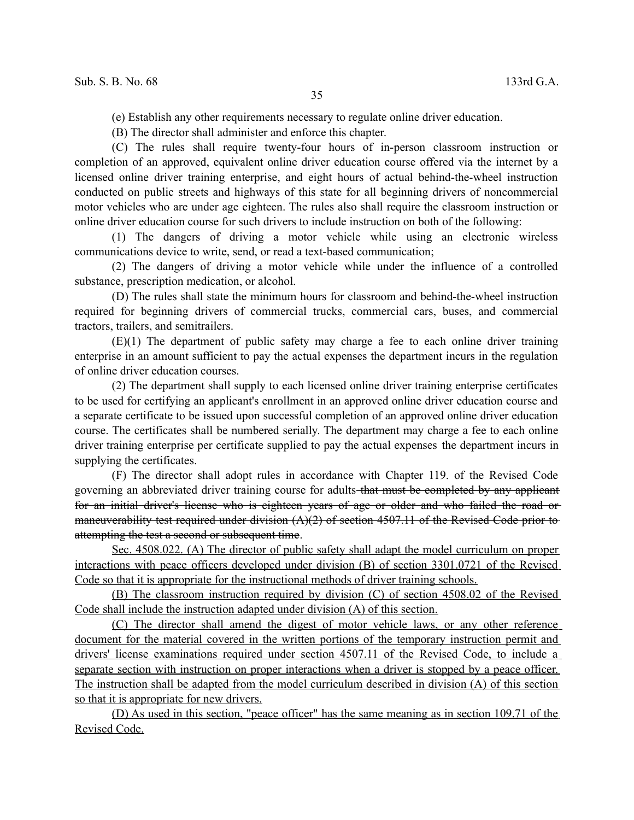(e) Establish any other requirements necessary to regulate online driver education.

(B) The director shall administer and enforce this chapter.

(C) The rules shall require twenty-four hours of in-person classroom instruction or completion of an approved, equivalent online driver education course offered via the internet by a licensed online driver training enterprise, and eight hours of actual behind-the-wheel instruction conducted on public streets and highways of this state for all beginning drivers of noncommercial motor vehicles who are under age eighteen. The rules also shall require the classroom instruction or online driver education course for such drivers to include instruction on both of the following:

(1) The dangers of driving a motor vehicle while using an electronic wireless communications device to write, send, or read a text-based communication;

(2) The dangers of driving a motor vehicle while under the influence of a controlled substance, prescription medication, or alcohol.

(D) The rules shall state the minimum hours for classroom and behind-the-wheel instruction required for beginning drivers of commercial trucks, commercial cars, buses, and commercial tractors, trailers, and semitrailers.

(E)(1) The department of public safety may charge a fee to each online driver training enterprise in an amount sufficient to pay the actual expenses the department incurs in the regulation of online driver education courses.

(2) The department shall supply to each licensed online driver training enterprise certificates to be used for certifying an applicant's enrollment in an approved online driver education course and a separate certificate to be issued upon successful completion of an approved online driver education course. The certificates shall be numbered serially. The department may charge a fee to each online driver training enterprise per certificate supplied to pay the actual expenses the department incurs in supplying the certificates.

(F) The director shall adopt rules in accordance with Chapter 119. of the Revised Code governing an abbreviated driver training course for adults that must be completed by any applicant for an initial driver's license who is eighteen years of age or older and who failed the road or maneuverability test required under division (A)(2) of section 4507.11 of the Revised Code prior to attempting the test a second or subsequent time.

Sec. 4508.022. (A) The director of public safety shall adapt the model curriculum on proper interactions with peace officers developed under division (B) of section 3301.0721 of the Revised Code so that it is appropriate for the instructional methods of driver training schools.

(B) The classroom instruction required by division (C) of section 4508.02 of the Revised Code shall include the instruction adapted under division (A) of this section.

(C) The director shall amend the digest of motor vehicle laws, or any other reference document for the material covered in the written portions of the temporary instruction permit and drivers' license examinations required under section 4507.11 of the Revised Code, to include a separate section with instruction on proper interactions when a driver is stopped by a peace officer. The instruction shall be adapted from the model curriculum described in division (A) of this section so that it is appropriate for new drivers.

(D) As used in this section, "peace officer" has the same meaning as in section 109.71 of the Revised Code.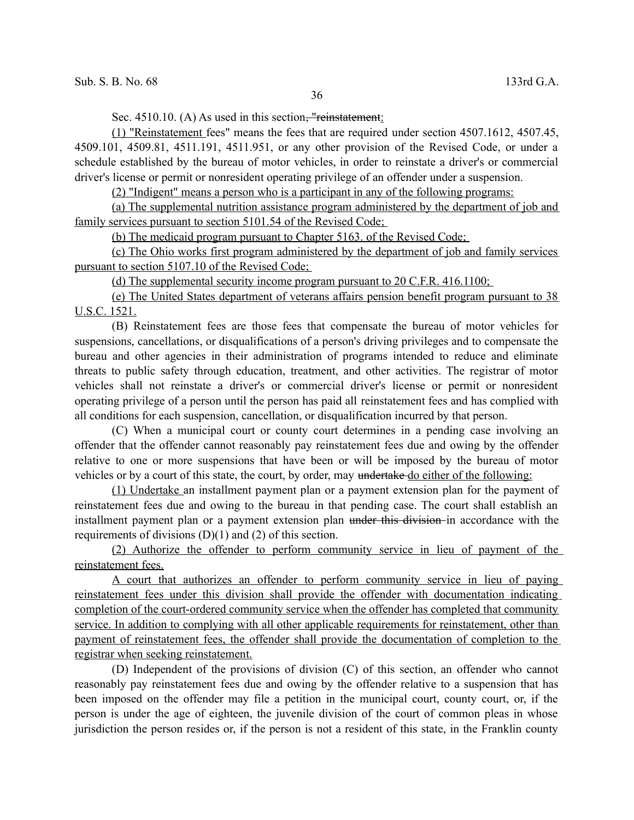Sec. 4510.10. (A) As used in this section<del>, "reinstatement</del>:

(1) "Reinstatement fees" means the fees that are required under section 4507.1612, 4507.45, 4509.101, 4509.81, 4511.191, 4511.951, or any other provision of the Revised Code, or under a schedule established by the bureau of motor vehicles, in order to reinstate a driver's or commercial driver's license or permit or nonresident operating privilege of an offender under a suspension.

(2) "Indigent" means a person who is a participant in any of the following programs:

(a) The supplemental nutrition assistance program administered by the department of job and family services pursuant to section 5101.54 of the Revised Code;

(b) The medicaid program pursuant to Chapter 5163. of the Revised Code;

(c) The Ohio works first program administered by the department of job and family services pursuant to section 5107.10 of the Revised Code;

(d) The supplemental security income program pursuant to 20 C.F.R. 416.1100;

(e) The United States department of veterans affairs pension benefit program pursuant to 38 U.S.C. 1521.

(B) Reinstatement fees are those fees that compensate the bureau of motor vehicles for suspensions, cancellations, or disqualifications of a person's driving privileges and to compensate the bureau and other agencies in their administration of programs intended to reduce and eliminate threats to public safety through education, treatment, and other activities. The registrar of motor vehicles shall not reinstate a driver's or commercial driver's license or permit or nonresident operating privilege of a person until the person has paid all reinstatement fees and has complied with all conditions for each suspension, cancellation, or disqualification incurred by that person.

(C) When a municipal court or county court determines in a pending case involving an offender that the offender cannot reasonably pay reinstatement fees due and owing by the offender relative to one or more suspensions that have been or will be imposed by the bureau of motor vehicles or by a court of this state, the court, by order, may undertake do either of the following:

(1) Undertake an installment payment plan or a payment extension plan for the payment of reinstatement fees due and owing to the bureau in that pending case. The court shall establish an installment payment plan or a payment extension plan under this division in accordance with the requirements of divisions  $(D)(1)$  and  $(2)$  of this section.

(2) Authorize the offender to perform community service in lieu of payment of the reinstatement fees.

A court that authorizes an offender to perform community service in lieu of paying reinstatement fees under this division shall provide the offender with documentation indicating completion of the court-ordered community service when the offender has completed that community service. In addition to complying with all other applicable requirements for reinstatement, other than payment of reinstatement fees, the offender shall provide the documentation of completion to the registrar when seeking reinstatement.

(D) Independent of the provisions of division (C) of this section, an offender who cannot reasonably pay reinstatement fees due and owing by the offender relative to a suspension that has been imposed on the offender may file a petition in the municipal court, county court, or, if the person is under the age of eighteen, the juvenile division of the court of common pleas in whose jurisdiction the person resides or, if the person is not a resident of this state, in the Franklin county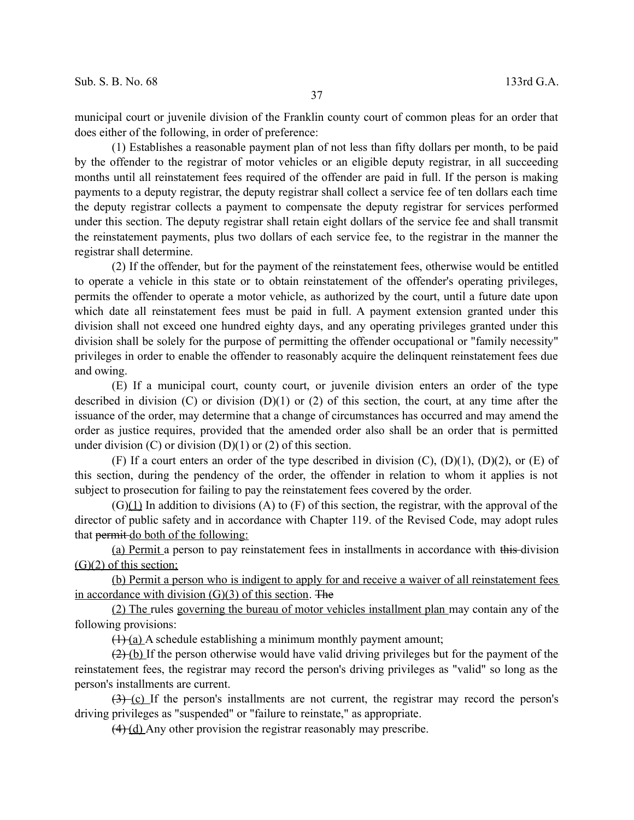municipal court or juvenile division of the Franklin county court of common pleas for an order that does either of the following, in order of preference:

(1) Establishes a reasonable payment plan of not less than fifty dollars per month, to be paid by the offender to the registrar of motor vehicles or an eligible deputy registrar, in all succeeding months until all reinstatement fees required of the offender are paid in full. If the person is making payments to a deputy registrar, the deputy registrar shall collect a service fee of ten dollars each time the deputy registrar collects a payment to compensate the deputy registrar for services performed under this section. The deputy registrar shall retain eight dollars of the service fee and shall transmit the reinstatement payments, plus two dollars of each service fee, to the registrar in the manner the registrar shall determine.

(2) If the offender, but for the payment of the reinstatement fees, otherwise would be entitled to operate a vehicle in this state or to obtain reinstatement of the offender's operating privileges, permits the offender to operate a motor vehicle, as authorized by the court, until a future date upon which date all reinstatement fees must be paid in full. A payment extension granted under this division shall not exceed one hundred eighty days, and any operating privileges granted under this division shall be solely for the purpose of permitting the offender occupational or "family necessity" privileges in order to enable the offender to reasonably acquire the delinquent reinstatement fees due and owing.

(E) If a municipal court, county court, or juvenile division enters an order of the type described in division (C) or division (D)(1) or (2) of this section, the court, at any time after the issuance of the order, may determine that a change of circumstances has occurred and may amend the order as justice requires, provided that the amended order also shall be an order that is permitted under division  $(C)$  or division  $(D)(1)$  or  $(2)$  of this section.

(F) If a court enters an order of the type described in division  $(C)$ ,  $(D)(1)$ ,  $(D)(2)$ , or  $(E)$  of this section, during the pendency of the order, the offender in relation to whom it applies is not subject to prosecution for failing to pay the reinstatement fees covered by the order.

 $(G)(1)$  In addition to divisions  $(A)$  to  $(F)$  of this section, the registrar, with the approval of the director of public safety and in accordance with Chapter 119. of the Revised Code, may adopt rules that permit do both of the following:

(a) Permit a person to pay reinstatement fees in installments in accordance with this division  $(G)(2)$  of this section;

(b) Permit a person who is indigent to apply for and receive a waiver of all reinstatement fees in accordance with division  $(G)(3)$  of this section. The

(2) The rules governing the bureau of motor vehicles installment plan may contain any of the following provisions:

 $(1)$  (a) A schedule establishing a minimum monthly payment amount;

 $(2)$  (b) If the person otherwise would have valid driving privileges but for the payment of the reinstatement fees, the registrar may record the person's driving privileges as "valid" so long as the person's installments are current.

 $(3)$  (c) If the person's installments are not current, the registrar may record the person's driving privileges as "suspended" or "failure to reinstate," as appropriate.

 $(4)$  (d) Any other provision the registrar reasonably may prescribe.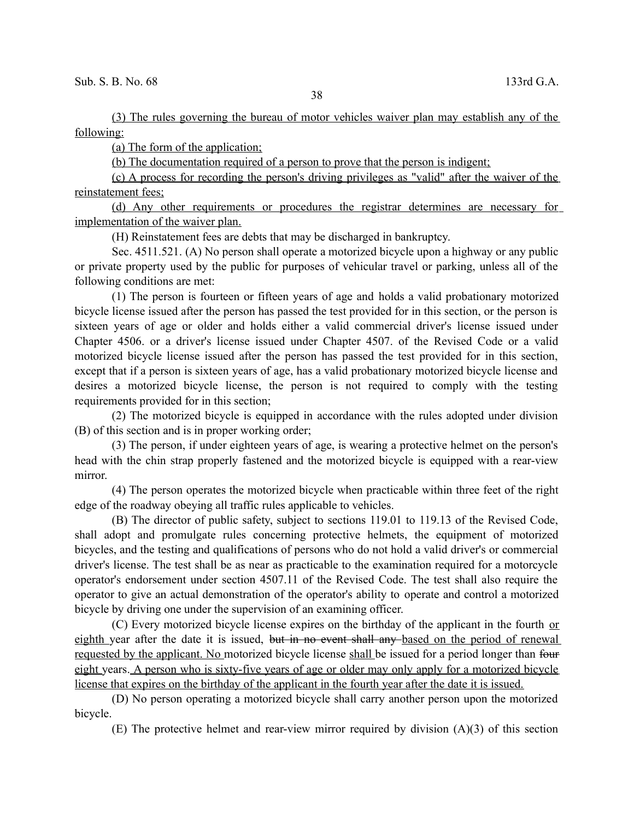(3) The rules governing the bureau of motor vehicles waiver plan may establish any of the following:

(a) The form of the application;

(b) The documentation required of a person to prove that the person is indigent;

(c) A process for recording the person's driving privileges as "valid" after the waiver of the reinstatement fees;

(d) Any other requirements or procedures the registrar determines are necessary for implementation of the waiver plan.

(H) Reinstatement fees are debts that may be discharged in bankruptcy.

Sec. 4511.521. (A) No person shall operate a motorized bicycle upon a highway or any public or private property used by the public for purposes of vehicular travel or parking, unless all of the following conditions are met:

(1) The person is fourteen or fifteen years of age and holds a valid probationary motorized bicycle license issued after the person has passed the test provided for in this section, or the person is sixteen years of age or older and holds either a valid commercial driver's license issued under Chapter 4506. or a driver's license issued under Chapter 4507. of the Revised Code or a valid motorized bicycle license issued after the person has passed the test provided for in this section, except that if a person is sixteen years of age, has a valid probationary motorized bicycle license and desires a motorized bicycle license, the person is not required to comply with the testing requirements provided for in this section;

(2) The motorized bicycle is equipped in accordance with the rules adopted under division (B) of this section and is in proper working order;

(3) The person, if under eighteen years of age, is wearing a protective helmet on the person's head with the chin strap properly fastened and the motorized bicycle is equipped with a rear-view mirror.

(4) The person operates the motorized bicycle when practicable within three feet of the right edge of the roadway obeying all traffic rules applicable to vehicles.

(B) The director of public safety, subject to sections 119.01 to 119.13 of the Revised Code, shall adopt and promulgate rules concerning protective helmets, the equipment of motorized bicycles, and the testing and qualifications of persons who do not hold a valid driver's or commercial driver's license. The test shall be as near as practicable to the examination required for a motorcycle operator's endorsement under section 4507.11 of the Revised Code. The test shall also require the operator to give an actual demonstration of the operator's ability to operate and control a motorized bicycle by driving one under the supervision of an examining officer.

(C) Every motorized bicycle license expires on the birthday of the applicant in the fourth or eighth year after the date it is issued, but in no event shall any based on the period of renewal requested by the applicant. No motorized bicycle license shall be issued for a period longer than four eight years. A person who is sixty-five years of age or older may only apply for a motorized bicycle license that expires on the birthday of the applicant in the fourth year after the date it is issued.

(D) No person operating a motorized bicycle shall carry another person upon the motorized bicycle.

(E) The protective helmet and rear-view mirror required by division (A)(3) of this section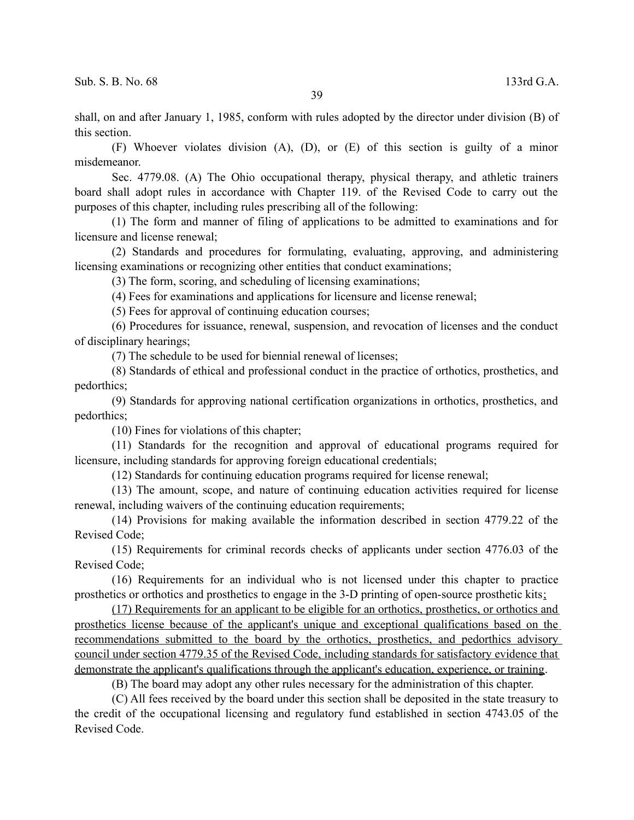shall, on and after January 1, 1985, conform with rules adopted by the director under division (B) of this section.

(F) Whoever violates division (A), (D), or (E) of this section is guilty of a minor misdemeanor.

Sec. 4779.08. (A) The Ohio occupational therapy, physical therapy, and athletic trainers board shall adopt rules in accordance with Chapter 119. of the Revised Code to carry out the purposes of this chapter, including rules prescribing all of the following:

(1) The form and manner of filing of applications to be admitted to examinations and for licensure and license renewal;

(2) Standards and procedures for formulating, evaluating, approving, and administering licensing examinations or recognizing other entities that conduct examinations;

(3) The form, scoring, and scheduling of licensing examinations;

(4) Fees for examinations and applications for licensure and license renewal;

(5) Fees for approval of continuing education courses;

(6) Procedures for issuance, renewal, suspension, and revocation of licenses and the conduct of disciplinary hearings;

(7) The schedule to be used for biennial renewal of licenses;

(8) Standards of ethical and professional conduct in the practice of orthotics, prosthetics, and pedorthics;

(9) Standards for approving national certification organizations in orthotics, prosthetics, and pedorthics;

(10) Fines for violations of this chapter;

(11) Standards for the recognition and approval of educational programs required for licensure, including standards for approving foreign educational credentials;

(12) Standards for continuing education programs required for license renewal;

(13) The amount, scope, and nature of continuing education activities required for license renewal, including waivers of the continuing education requirements;

(14) Provisions for making available the information described in section 4779.22 of the Revised Code;

(15) Requirements for criminal records checks of applicants under section 4776.03 of the Revised Code;

(16) Requirements for an individual who is not licensed under this chapter to practice prosthetics or orthotics and prosthetics to engage in the 3-D printing of open-source prosthetic kits;

(17) Requirements for an applicant to be eligible for an orthotics, prosthetics, or orthotics and prosthetics license because of the applicant's unique and exceptional qualifications based on the recommendations submitted to the board by the orthotics, prosthetics, and pedorthics advisory council under section 4779.35 of the Revised Code, including standards for satisfactory evidence that demonstrate the applicant's qualifications through the applicant's education, experience, or training.

(B) The board may adopt any other rules necessary for the administration of this chapter.

(C) All fees received by the board under this section shall be deposited in the state treasury to the credit of the occupational licensing and regulatory fund established in section 4743.05 of the Revised Code.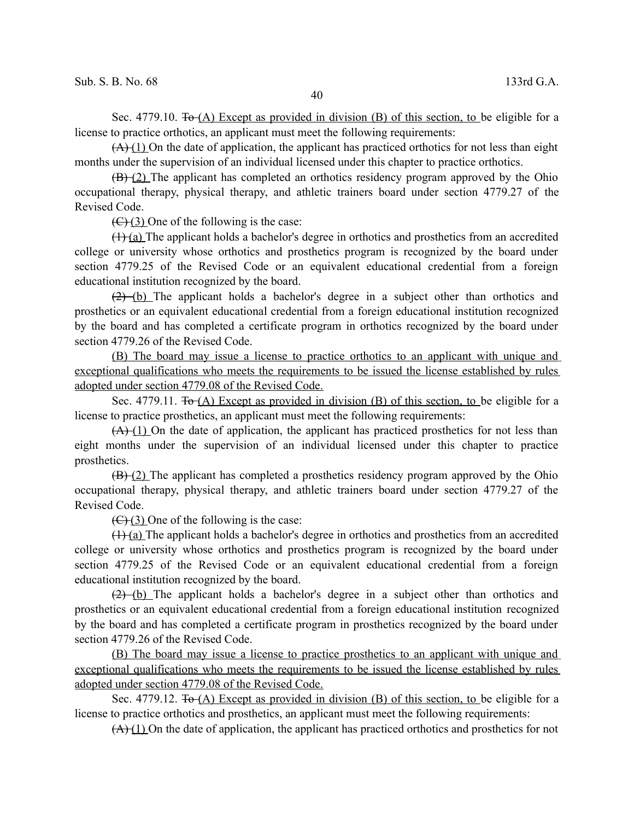Sec. 4779.10. To  $(A)$  Except as provided in division  $(B)$  of this section, to be eligible for a license to practice orthotics, an applicant must meet the following requirements:

 $(A)(1)$  On the date of application, the applicant has practiced orthotics for not less than eight months under the supervision of an individual licensed under this chapter to practice orthotics.

 $(B)$  (2) The applicant has completed an orthotics residency program approved by the Ohio occupational therapy, physical therapy, and athletic trainers board under section 4779.27 of the Revised Code.

 $(\bigoplus_{i=1}^{\infty} (3)$  One of the following is the case:

 $(1)$  (a) The applicant holds a bachelor's degree in orthotics and prosthetics from an accredited college or university whose orthotics and prosthetics program is recognized by the board under section 4779.25 of the Revised Code or an equivalent educational credential from a foreign educational institution recognized by the board.

(2) (b) The applicant holds a bachelor's degree in a subject other than orthotics and prosthetics or an equivalent educational credential from a foreign educational institution recognized by the board and has completed a certificate program in orthotics recognized by the board under section 4779.26 of the Revised Code.

(B) The board may issue a license to practice orthotics to an applicant with unique and exceptional qualifications who meets the requirements to be issued the license established by rules adopted under section 4779.08 of the Revised Code.

Sec. 4779.11.  $\text{To}(\mathsf{A})$  Except as provided in division (B) of this section, to be eligible for a license to practice prosthetics, an applicant must meet the following requirements:

 $(A)$  (1) On the date of application, the applicant has practiced prosthetics for not less than eight months under the supervision of an individual licensed under this chapter to practice prosthetics.

(B) (2) The applicant has completed a prosthetics residency program approved by the Ohio occupational therapy, physical therapy, and athletic trainers board under section 4779.27 of the Revised Code.

 $(\bigoplus_{i=1}^n (3))$  One of the following is the case:

 $(1)$  (a) The applicant holds a bachelor's degree in orthotics and prosthetics from an accredited college or university whose orthotics and prosthetics program is recognized by the board under section 4779.25 of the Revised Code or an equivalent educational credential from a foreign educational institution recognized by the board.

 $(2)$  (b) The applicant holds a bachelor's degree in a subject other than orthotics and prosthetics or an equivalent educational credential from a foreign educational institution recognized by the board and has completed a certificate program in prosthetics recognized by the board under section 4779.26 of the Revised Code.

(B) The board may issue a license to practice prosthetics to an applicant with unique and exceptional qualifications who meets the requirements to be issued the license established by rules adopted under section 4779.08 of the Revised Code.

Sec. 4779.12. To  $(A)$  Except as provided in division  $(B)$  of this section, to be eligible for a license to practice orthotics and prosthetics, an applicant must meet the following requirements:

 $(A)$  (1) On the date of application, the applicant has practiced orthotics and prosthetics for not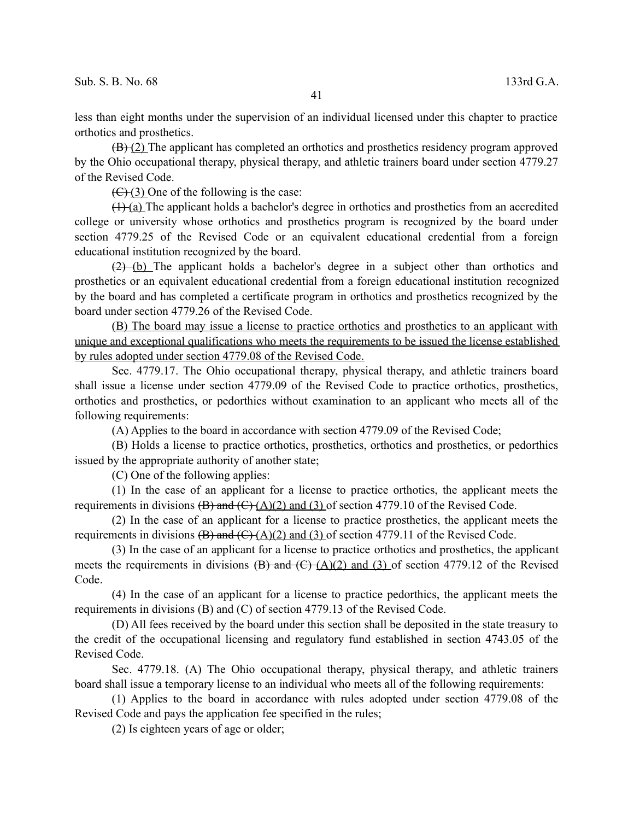less than eight months under the supervision of an individual licensed under this chapter to practice orthotics and prosthetics.

(B) (2) The applicant has completed an orthotics and prosthetics residency program approved by the Ohio occupational therapy, physical therapy, and athletic trainers board under section 4779.27 of the Revised Code.

 $(\bigoplus_{i=1}^n A_i)$  One of the following is the case:

 $(1)$  (a) The applicant holds a bachelor's degree in orthotics and prosthetics from an accredited college or university whose orthotics and prosthetics program is recognized by the board under section 4779.25 of the Revised Code or an equivalent educational credential from a foreign educational institution recognized by the board.

 $(2)$  (b) The applicant holds a bachelor's degree in a subject other than orthotics and prosthetics or an equivalent educational credential from a foreign educational institution recognized by the board and has completed a certificate program in orthotics and prosthetics recognized by the board under section 4779.26 of the Revised Code.

(B) The board may issue a license to practice orthotics and prosthetics to an applicant with unique and exceptional qualifications who meets the requirements to be issued the license established by rules adopted under section 4779.08 of the Revised Code.

Sec. 4779.17. The Ohio occupational therapy, physical therapy, and athletic trainers board shall issue a license under section 4779.09 of the Revised Code to practice orthotics, prosthetics, orthotics and prosthetics, or pedorthics without examination to an applicant who meets all of the following requirements:

(A) Applies to the board in accordance with section 4779.09 of the Revised Code;

(B) Holds a license to practice orthotics, prosthetics, orthotics and prosthetics, or pedorthics issued by the appropriate authority of another state;

(C) One of the following applies:

(1) In the case of an applicant for a license to practice orthotics, the applicant meets the requirements in divisions  $(B)$  and  $(C)$   $(A)(2)$  and  $(3)$  of section 4779.10 of the Revised Code.

(2) In the case of an applicant for a license to practice prosthetics, the applicant meets the requirements in divisions  $(B)$  and  $(C)$   $(A)(2)$  and  $(3)$  of section 4779.11 of the Revised Code.

(3) In the case of an applicant for a license to practice orthotics and prosthetics, the applicant meets the requirements in divisions  $(B)$  and  $(C)$   $(A)(2)$  and  $(3)$  of section 4779.12 of the Revised Code.

(4) In the case of an applicant for a license to practice pedorthics, the applicant meets the requirements in divisions (B) and (C) of section 4779.13 of the Revised Code.

(D) All fees received by the board under this section shall be deposited in the state treasury to the credit of the occupational licensing and regulatory fund established in section 4743.05 of the Revised Code.

Sec. 4779.18. (A) The Ohio occupational therapy, physical therapy, and athletic trainers board shall issue a temporary license to an individual who meets all of the following requirements:

(1) Applies to the board in accordance with rules adopted under section 4779.08 of the Revised Code and pays the application fee specified in the rules;

(2) Is eighteen years of age or older;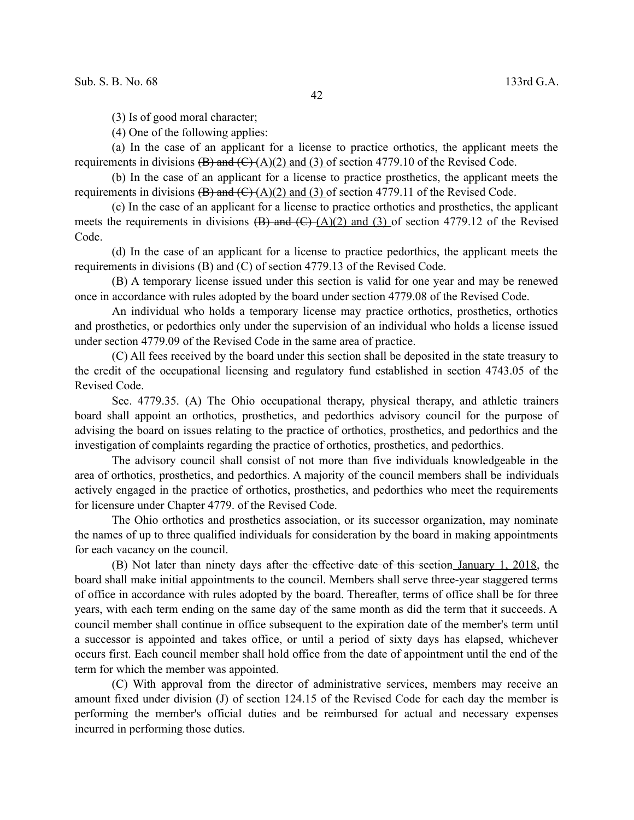(3) Is of good moral character;

(4) One of the following applies:

(a) In the case of an applicant for a license to practice orthotics, the applicant meets the requirements in divisions  $(B)$  and  $(C)$   $(A)(2)$  and  $(3)$  of section 4779.10 of the Revised Code.

(b) In the case of an applicant for a license to practice prosthetics, the applicant meets the requirements in divisions  $\overline{(B)}$  and  $\overline{(C)}$   $\overline{(A)(2)}$  and  $\overline{(3)}$  of section 4779.11 of the Revised Code.

(c) In the case of an applicant for a license to practice orthotics and prosthetics, the applicant meets the requirements in divisions  $(B)$  and  $(C)$   $(A)(2)$  and  $(3)$  of section 4779.12 of the Revised Code.

(d) In the case of an applicant for a license to practice pedorthics, the applicant meets the requirements in divisions (B) and (C) of section 4779.13 of the Revised Code.

(B) A temporary license issued under this section is valid for one year and may be renewed once in accordance with rules adopted by the board under section 4779.08 of the Revised Code.

An individual who holds a temporary license may practice orthotics, prosthetics, orthotics and prosthetics, or pedorthics only under the supervision of an individual who holds a license issued under section 4779.09 of the Revised Code in the same area of practice.

(C) All fees received by the board under this section shall be deposited in the state treasury to the credit of the occupational licensing and regulatory fund established in section 4743.05 of the Revised Code.

Sec. 4779.35. (A) The Ohio occupational therapy, physical therapy, and athletic trainers board shall appoint an orthotics, prosthetics, and pedorthics advisory council for the purpose of advising the board on issues relating to the practice of orthotics, prosthetics, and pedorthics and the investigation of complaints regarding the practice of orthotics, prosthetics, and pedorthics.

The advisory council shall consist of not more than five individuals knowledgeable in the area of orthotics, prosthetics, and pedorthics. A majority of the council members shall be individuals actively engaged in the practice of orthotics, prosthetics, and pedorthics who meet the requirements for licensure under Chapter 4779. of the Revised Code.

The Ohio orthotics and prosthetics association, or its successor organization, may nominate the names of up to three qualified individuals for consideration by the board in making appointments for each vacancy on the council.

(B) Not later than ninety days after the effective date of this section January 1, 2018, the board shall make initial appointments to the council. Members shall serve three-year staggered terms of office in accordance with rules adopted by the board. Thereafter, terms of office shall be for three years, with each term ending on the same day of the same month as did the term that it succeeds. A council member shall continue in office subsequent to the expiration date of the member's term until a successor is appointed and takes office, or until a period of sixty days has elapsed, whichever occurs first. Each council member shall hold office from the date of appointment until the end of the term for which the member was appointed.

(C) With approval from the director of administrative services, members may receive an amount fixed under division (J) of section 124.15 of the Revised Code for each day the member is performing the member's official duties and be reimbursed for actual and necessary expenses incurred in performing those duties.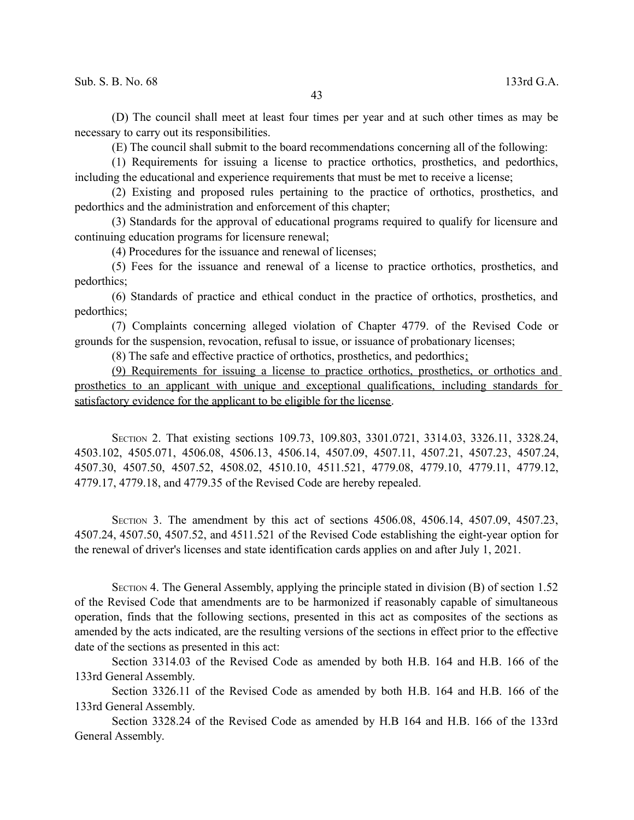(D) The council shall meet at least four times per year and at such other times as may be necessary to carry out its responsibilities.

(E) The council shall submit to the board recommendations concerning all of the following:

(1) Requirements for issuing a license to practice orthotics, prosthetics, and pedorthics, including the educational and experience requirements that must be met to receive a license;

(2) Existing and proposed rules pertaining to the practice of orthotics, prosthetics, and pedorthics and the administration and enforcement of this chapter;

(3) Standards for the approval of educational programs required to qualify for licensure and continuing education programs for licensure renewal;

(4) Procedures for the issuance and renewal of licenses;

(5) Fees for the issuance and renewal of a license to practice orthotics, prosthetics, and pedorthics;

(6) Standards of practice and ethical conduct in the practice of orthotics, prosthetics, and pedorthics;

(7) Complaints concerning alleged violation of Chapter 4779. of the Revised Code or grounds for the suspension, revocation, refusal to issue, or issuance of probationary licenses;

(8) The safe and effective practice of orthotics, prosthetics, and pedorthics;

(9) Requirements for issuing a license to practice orthotics, prosthetics, or orthotics and prosthetics to an applicant with unique and exceptional qualifications, including standards for satisfactory evidence for the applicant to be eligible for the license.

SECTION 2. That existing sections 109.73, 109.803, 3301.0721, 3314.03, 3326.11, 3328.24, 4503.102, 4505.071, 4506.08, 4506.13, 4506.14, 4507.09, 4507.11, 4507.21, 4507.23, 4507.24, 4507.30, 4507.50, 4507.52, 4508.02, 4510.10, 4511.521, 4779.08, 4779.10, 4779.11, 4779.12, 4779.17, 4779.18, and 4779.35 of the Revised Code are hereby repealed.

SECTION 3. The amendment by this act of sections 4506.08, 4506.14, 4507.09, 4507.23, 4507.24, 4507.50, 4507.52, and 4511.521 of the Revised Code establishing the eight-year option for the renewal of driver's licenses and state identification cards applies on and after July 1, 2021.

SECTION 4. The General Assembly, applying the principle stated in division (B) of section 1.52 of the Revised Code that amendments are to be harmonized if reasonably capable of simultaneous operation, finds that the following sections, presented in this act as composites of the sections as amended by the acts indicated, are the resulting versions of the sections in effect prior to the effective date of the sections as presented in this act:

Section 3314.03 of the Revised Code as amended by both H.B. 164 and H.B. 166 of the 133rd General Assembly.

Section 3326.11 of the Revised Code as amended by both H.B. 164 and H.B. 166 of the 133rd General Assembly.

Section 3328.24 of the Revised Code as amended by H.B 164 and H.B. 166 of the 133rd General Assembly.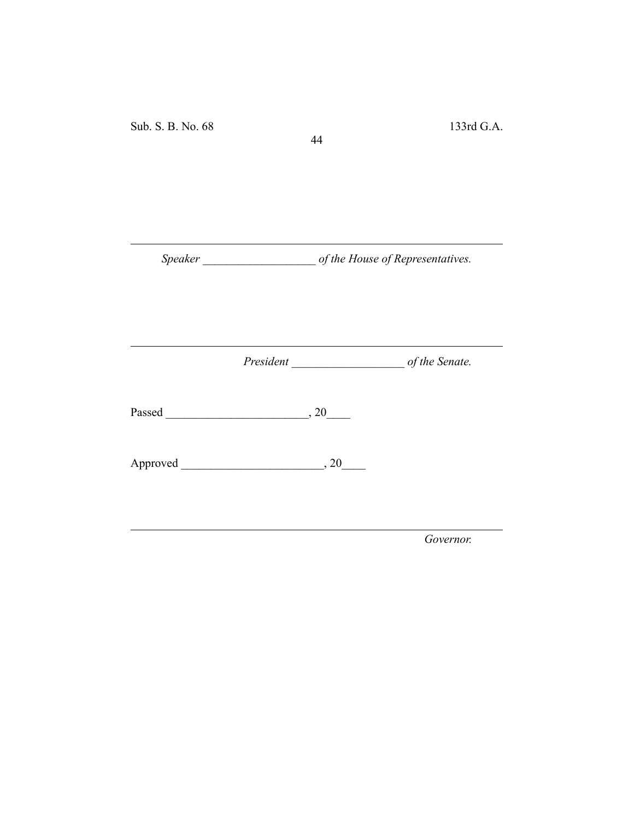*Speaker \_\_\_\_\_\_\_\_\_\_\_\_\_\_\_\_\_\_\_ of the House of Representatives.*

44

*President \_\_\_\_\_\_\_\_\_\_\_\_\_\_\_\_\_\_\_ of the Senate.*

Passed \_\_\_\_\_\_\_\_\_\_\_\_\_\_\_\_\_\_\_\_\_\_\_\_, 20\_\_\_\_

Approved \_\_\_\_\_\_\_\_\_\_\_\_\_\_\_\_\_\_\_\_\_\_\_\_, 20\_\_\_\_

*Governor.*